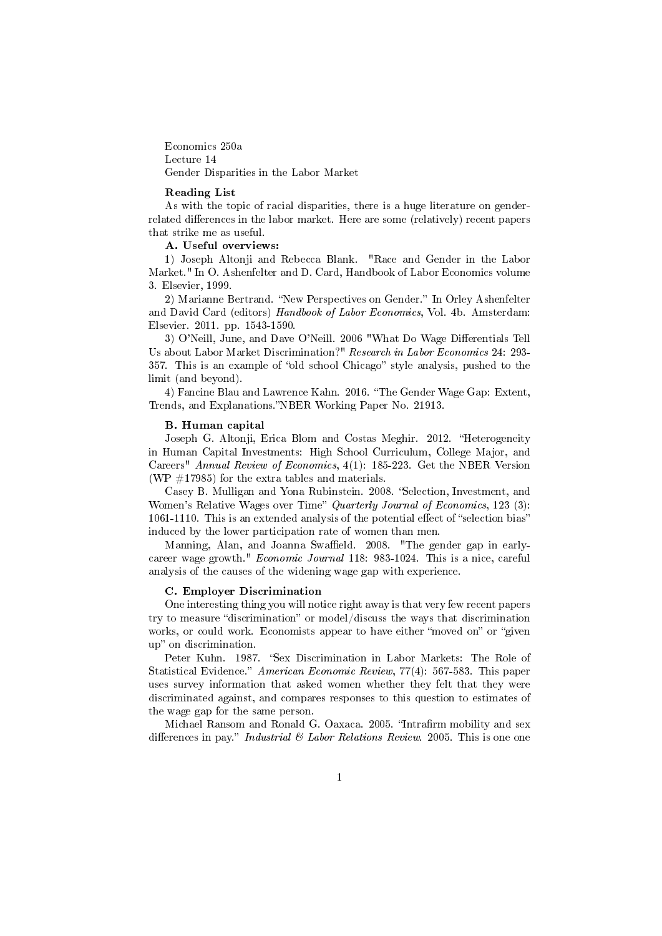Economics 250a Lecture 14 Gender Disparities in the Labor Market

#### Reading List

As with the topic of racial disparities, there is a huge literature on genderrelated differences in the labor market. Here are some (relatively) recent papers that strike me as useful.

#### A. Useful overviews:

1) Joseph Altonji and Rebecca Blank. "Race and Gender in the Labor Market." In O. Ashenfelter and D. Card, Handbook of Labor Economics volume 3. Elsevier, 1999.

2) Marianne Bertrand. "New Perspectives on Gender." In Orley Ashenfelter and David Card (editors) Handbook of Labor Economics, Vol. 4b. Amsterdam: Elsevier. 2011. pp. 1543-1590.

3) O'Neill, June, and Dave O'Neill. 2006 "What Do Wage Differentials Tell Us about Labor Market Discrimination?" Research in Labor Economics 24: 293- 357. This is an example of "old school Chicago" style analysis, pushed to the limit (and beyond).

4) Fancine Blau and Lawrence Kahn. 2016. "The Gender Wage Gap: Extent, Trends, and Explanations."NBER Working Paper No. 21913.

#### B. Human capital

Joseph G. Altonji, Erica Blom and Costas Meghir. 2012. "Heterogeneity in Human Capital Investments: High School Curriculum, College Major, and Careers" Annual Review of Economics, 4(1): 185-223. Get the NBER Version (WP  $\#17985$ ) for the extra tables and materials.

Casey B. Mulligan and Yona Rubinstein. 2008. "Selection, Investment, and Women's Relative Wages over Time" Quarterly Journal of Economics, 123 (3):  $1061-1110$ . This is an extended analysis of the potential effect of "selection bias" induced by the lower participation rate of women than men.

Manning, Alan, and Joanna Swaffield. 2008. "The gender gap in earlycareer wage growth." Economic Journal 118: 983-1024. This is a nice, careful analysis of the causes of the widening wage gap with experience.

#### C. Employer Discrimination

One interesting thing you will notice right away is that very few recent papers try to measure "discrimination" or model/discuss the ways that discrimination works, or could work. Economists appear to have either "moved on" or "given up" on discrimination.

Peter Kuhn. 1987. "Sex Discrimination in Labor Markets: The Role of Statistical Evidence." American Economic Review, 77(4): 567-583. This paper uses survey information that asked women whether they felt that they were discriminated against, and compares responses to this question to estimates of the wage gap for the same person.

Michael Ransom and Ronald G. Oaxaca. 2005. "Intrafirm mobility and sex differences in pay." *Industrial*  $\mathcal{B}$  *Labor Relations Review.* 2005. This is one one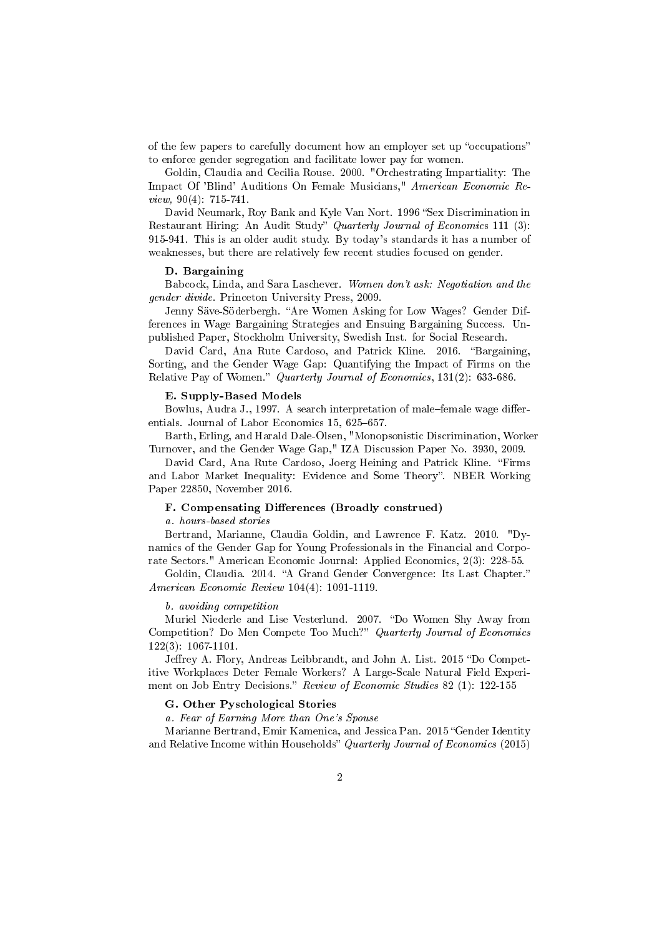of the few papers to carefully document how an employer set up "occupations" to enforce gender segregation and facilitate lower pay for women.

Goldin, Claudia and Cecilia Rouse. 2000. "Orchestrating Impartiality: The Impact Of 'Blind' Auditions On Female Musicians," American Economic Review, 90(4): 715-741.

David Neumark, Roy Bank and Kyle Van Nort. 1996 "Sex Discrimination in Restaurant Hiring: An Audit Study" Quarterly Journal of Economics 111 (3): 915-941. This is an older audit study. By today's standards it has a number of weaknesses, but there are relatively few recent studies focused on gender.

#### D. Bargaining

Babcock, Linda, and Sara Laschever. Women don't ask: Negotiation and the gender divide. Princeton University Press, 2009.

Jenny Säve-Söderbergh. "Are Women Asking for Low Wages? Gender Differences in Wage Bargaining Strategies and Ensuing Bargaining Success. Unpublished Paper, Stockholm University, Swedish Inst. for Social Research.

David Card, Ana Rute Cardoso, and Patrick Kline. 2016. "Bargaining, Sorting, and the Gender Wage Gap: Quantifying the Impact of Firms on the Relative Pay of Women." Quarterly Journal of Economics, 131(2): 633-686.

#### E. Supply-Based Models

Bowlus, Audra J., 1997. A search interpretation of male-female wage differentials. Journal of Labor Economics 15, 625-657.

Barth, Erling, and Harald Dale-Olsen, "Monopsonistic Discrimination, Worker Turnover, and the Gender Wage Gap," IZA Discussion Paper No. 3930, 2009.

David Card, Ana Rute Cardoso, Joerg Heining and Patrick Kline. "Firms and Labor Market Inequality: Evidence and Some Theory". NBER Working Paper 22850, November 2016.

#### F. Compensating Differences (Broadly construed)

#### a. hours-based stories

Bertrand, Marianne, Claudia Goldin, and Lawrence F. Katz. 2010. "Dynamics of the Gender Gap for Young Professionals in the Financial and Corporate Sectors." American Economic Journal: Applied Economics, 2(3): 228-55.

Goldin, Claudia. 2014. "A Grand Gender Convergence: Its Last Chapter." American Economic Review 104(4): 1091-1119.

#### b. avoiding competition

Muriel Niederle and Lise Vesterlund. 2007. "Do Women Shy Away from Competition? Do Men Compete Too Much?" Quarterly Journal of Economics 122(3): 1067-1101.

Jeffrey A. Flory, Andreas Leibbrandt, and John A. List. 2015 "Do Competitive Workplaces Deter Female Workers? A Large-Scale Natural Field Experiment on Job Entry Decisions." Review of Economic Studies 82 (1): 122-155

#### G. Other Pyschological Stories

a. Fear of Earning More than One's Spouse

Marianne Bertrand, Emir Kamenica, and Jessica Pan. 2015 "Gender Identity and Relative Income within Households" Quarterly Journal of Economics (2015)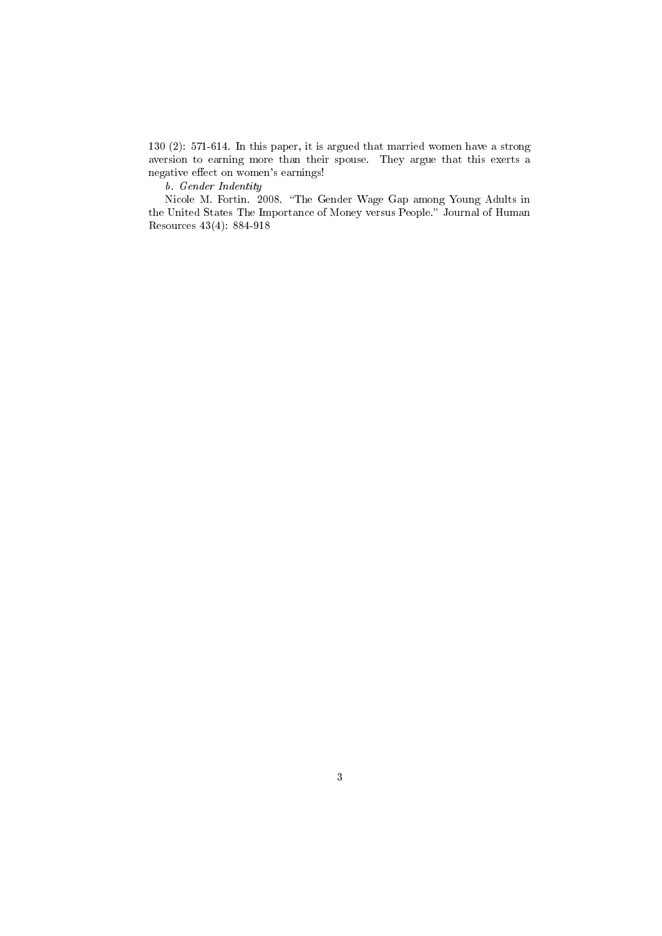130 (2): 571-614. In this paper, it is argued that married women have a strong aversion to earning more than their spouse. They argue that this exerts a negative effect on women's earnings!

b. Gender Indentity

Nicole M. Fortin. 2008. "The Gender Wage Gap among Young Adults in the United States The Importance of Money versus People." Journal of Human Resources 43(4): 884-918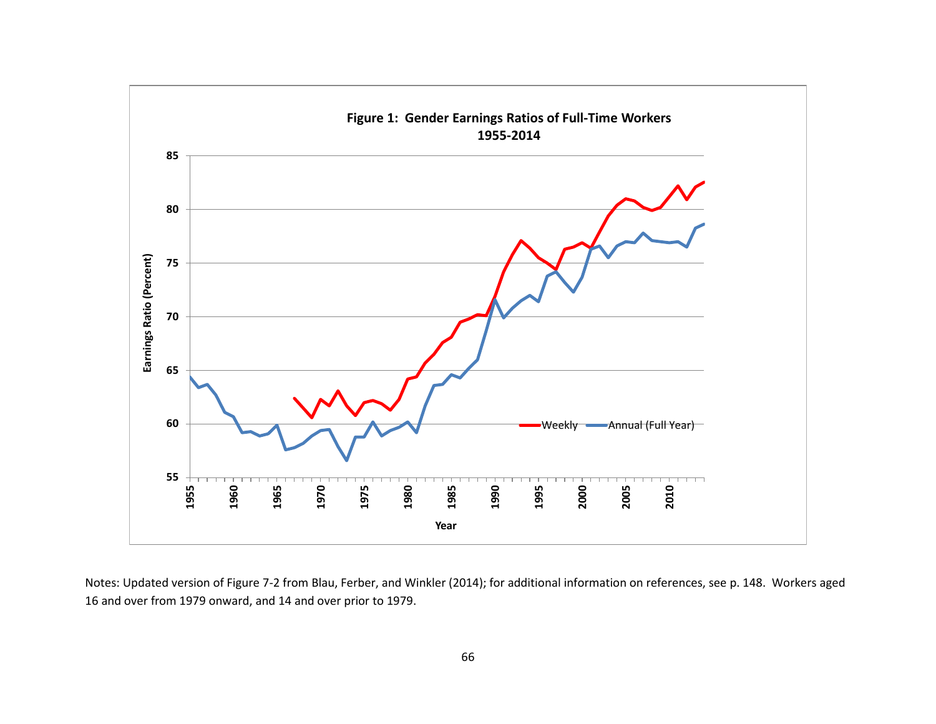

Notes: Updated version of Figure 7-2 from Blau, Ferber, and Winkler (2014); for additional information on references, see p. 148. Workers aged 16 and over from 1979 onward, and 14 and over prior to 1979.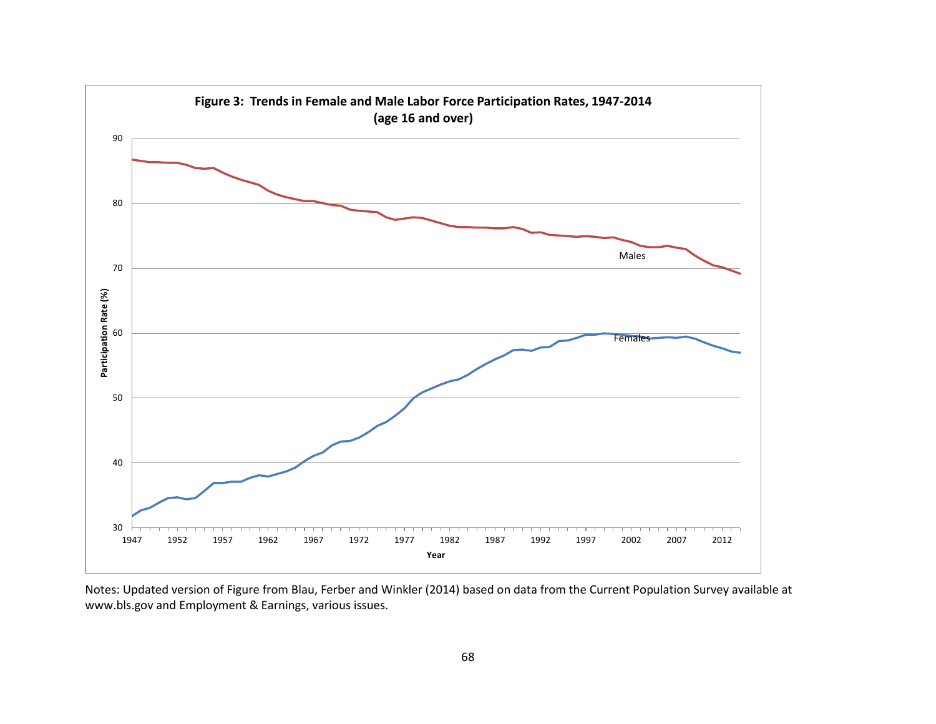

Notes: Updated version of Figure from Blau, Ferber and Winkler (2014) based on data from the Current Population Survey available at [www.bls.gov](http://www.bls.gov/) and Employment & Earnings, various issues.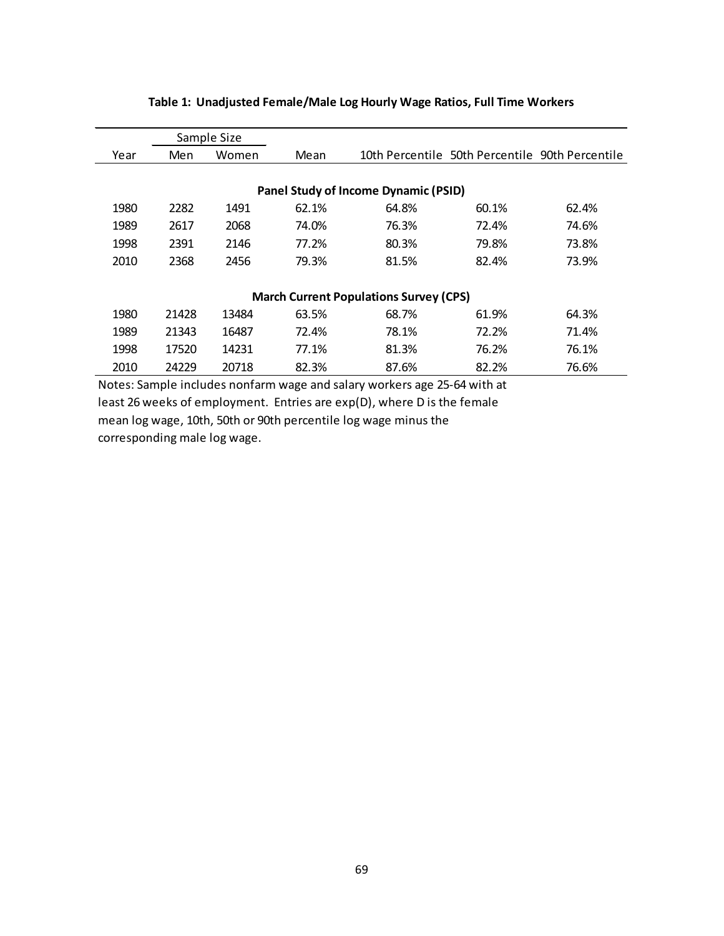| Men   | Women | Mean        |       |       |                                                                                                                                                 |
|-------|-------|-------------|-------|-------|-------------------------------------------------------------------------------------------------------------------------------------------------|
|       |       |             |       |       |                                                                                                                                                 |
|       |       |             |       |       |                                                                                                                                                 |
| 2282  | 1491  | 62.1%       | 64.8% | 60.1% | 62.4%                                                                                                                                           |
| 2617  | 2068  | 74.0%       | 76.3% | 72.4% | 74.6%                                                                                                                                           |
| 2391  | 2146  | 77.2%       | 80.3% | 79.8% | 73.8%                                                                                                                                           |
| 2368  | 2456  | 79.3%       | 81.5% | 82.4% | 73.9%                                                                                                                                           |
|       |       |             |       |       |                                                                                                                                                 |
|       |       |             |       |       |                                                                                                                                                 |
| 21428 | 13484 | 63.5%       | 68.7% | 61.9% | 64.3%                                                                                                                                           |
| 21343 | 16487 | 72.4%       | 78.1% | 72.2% | 71.4%                                                                                                                                           |
| 17520 | 14231 | 77.1%       | 81.3% | 76.2% | 76.1%                                                                                                                                           |
| 24229 | 20718 | 82.3%       | 87.6% | 82.2% | 76.6%                                                                                                                                           |
|       |       | Sample Size |       |       | 10th Percentile 50th Percentile 90th Percentile<br><b>Panel Study of Income Dynamic (PSID)</b><br><b>March Current Populations Survey (CPS)</b> |

## **Table 1: Unadjusted Female/Male Log Hourly Wage Ratios, Full Time Workers**

Notes: Sample includes nonfarm wage and salary workers age 25-64 with at least 26 weeks of employment. Entries are exp(D), where D is the female mean log wage, 10th, 50th or 90th percentile log wage minus the corresponding male log wage.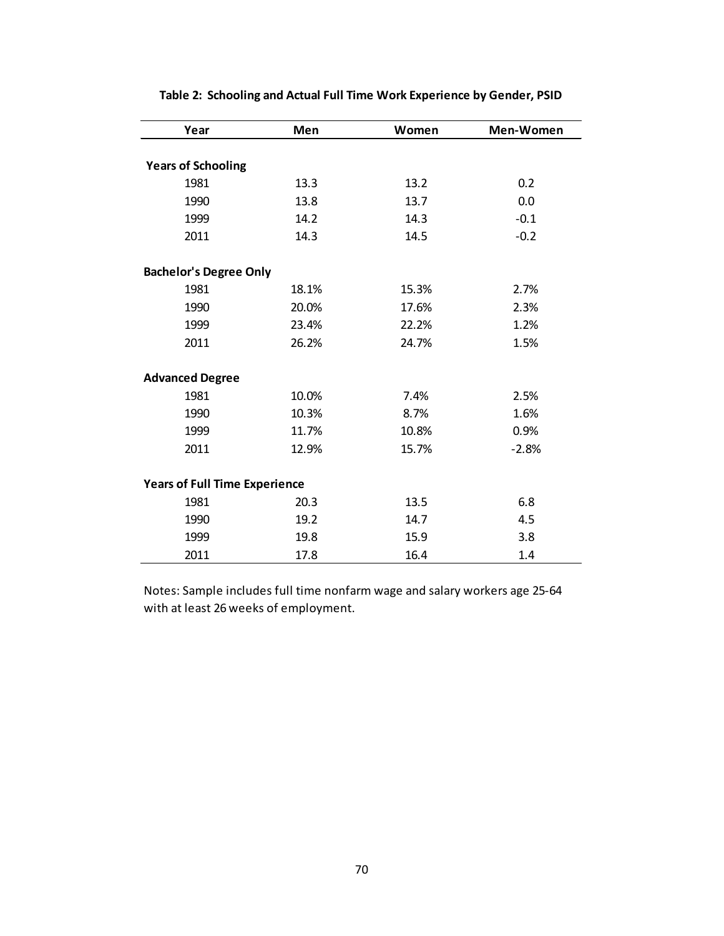| Year                                 | Men   | Women | Men-Women |
|--------------------------------------|-------|-------|-----------|
|                                      |       |       |           |
| <b>Years of Schooling</b>            |       |       |           |
| 1981                                 | 13.3  | 13.2  | 0.2       |
| 1990                                 | 13.8  | 13.7  | 0.0       |
| 1999                                 | 14.2  | 14.3  | $-0.1$    |
| 2011                                 | 14.3  | 14.5  | $-0.2$    |
| <b>Bachelor's Degree Only</b>        |       |       |           |
| 1981                                 | 18.1% | 15.3% | 2.7%      |
| 1990                                 | 20.0% | 17.6% | 2.3%      |
| 1999                                 | 23.4% | 22.2% | 1.2%      |
| 2011                                 | 26.2% | 24.7% | 1.5%      |
| <b>Advanced Degree</b>               |       |       |           |
| 1981                                 | 10.0% | 7.4%  | 2.5%      |
| 1990                                 | 10.3% | 8.7%  | 1.6%      |
| 1999                                 | 11.7% | 10.8% | 0.9%      |
| 2011                                 | 12.9% | 15.7% | $-2.8%$   |
| <b>Years of Full Time Experience</b> |       |       |           |
| 1981                                 | 20.3  | 13.5  | 6.8       |
| 1990                                 | 19.2  | 14.7  | 4.5       |
| 1999                                 | 19.8  | 15.9  | 3.8       |
| 2011                                 | 17.8  | 16.4  | 1.4       |

**Table 2: Schooling and Actual Full Time Work Experience by Gender, PSID**

Notes: Sample includes full time nonfarm wage and salary workers age 25-64 with at least 26 weeks of employment.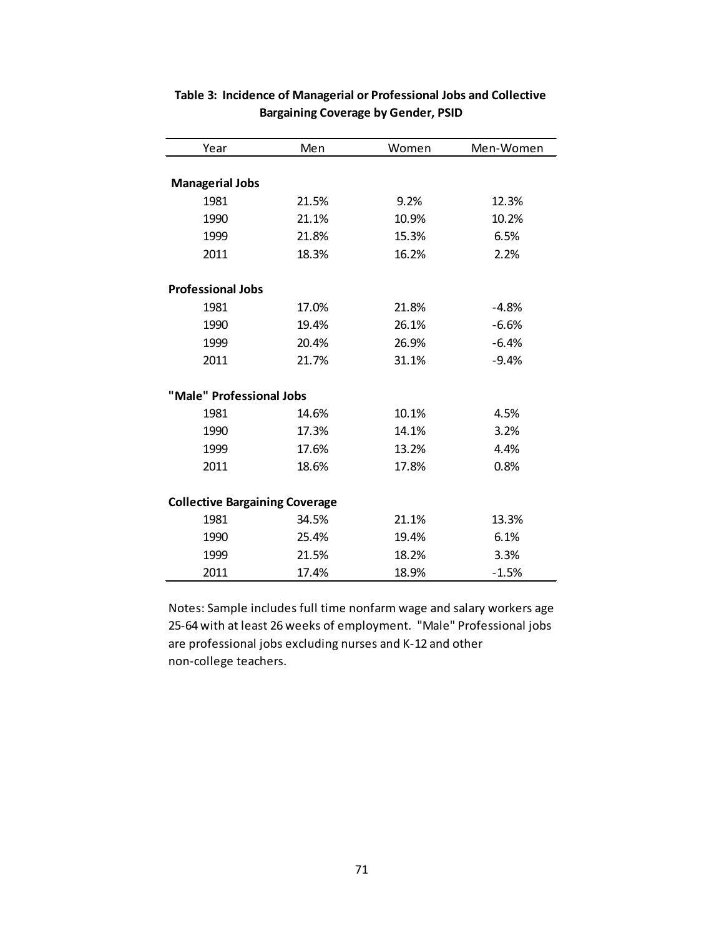| Year                                  | Men   | Women | Men-Women |
|---------------------------------------|-------|-------|-----------|
|                                       |       |       |           |
| <b>Managerial Jobs</b>                |       |       |           |
| 1981                                  | 21.5% | 9.2%  | 12.3%     |
| 1990                                  | 21.1% | 10.9% | 10.2%     |
| 1999                                  | 21.8% | 15.3% | 6.5%      |
| 2011                                  | 18.3% | 16.2% | 2.2%      |
| <b>Professional Jobs</b>              |       |       |           |
| 1981                                  | 17.0% | 21.8% | $-4.8%$   |
| 1990                                  | 19.4% | 26.1% | $-6.6%$   |
| 1999                                  | 20.4% | 26.9% | $-6.4%$   |
| 2011                                  | 21.7% | 31.1% | $-9.4%$   |
| "Male" Professional Jobs              |       |       |           |
| 1981                                  | 14.6% | 10.1% | 4.5%      |
| 1990                                  | 17.3% | 14.1% | 3.2%      |
| 1999                                  | 17.6% | 13.2% | 4.4%      |
| 2011                                  | 18.6% | 17.8% | 0.8%      |
| <b>Collective Bargaining Coverage</b> |       |       |           |
| 1981                                  | 34.5% | 21.1% | 13.3%     |
| 1990                                  | 25.4% | 19.4% | 6.1%      |
| 1999                                  | 21.5% | 18.2% | 3.3%      |
| 2011                                  | 17.4% | 18.9% | $-1.5%$   |

## **Table 3: Incidence of Managerial or Professional Jobs and Collective Bargaining Coverage by Gender, PSID**

Notes: Sample includes full time nonfarm wage and salary workers age 25-64 with at least 26 weeks of employment. "Male" Professional jobs are professional jobs excluding nurses and K-12 and other non-college teachers.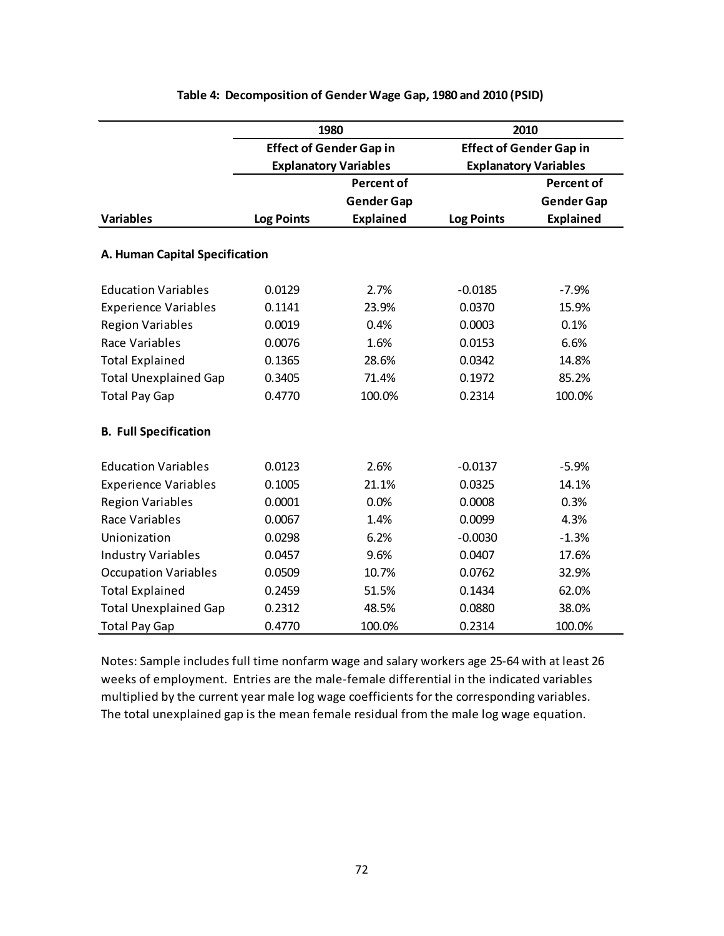|                                |                              | 1980                           | 2010              |                                |  |  |
|--------------------------------|------------------------------|--------------------------------|-------------------|--------------------------------|--|--|
|                                |                              | <b>Effect of Gender Gap in</b> |                   | <b>Effect of Gender Gap in</b> |  |  |
|                                | <b>Explanatory Variables</b> |                                |                   | <b>Explanatory Variables</b>   |  |  |
|                                |                              | <b>Percent of</b>              |                   | <b>Percent of</b>              |  |  |
|                                |                              | <b>Gender Gap</b>              |                   | <b>Gender Gap</b>              |  |  |
| <b>Variables</b>               | <b>Log Points</b>            | <b>Explained</b>               | <b>Log Points</b> | <b>Explained</b>               |  |  |
|                                |                              |                                |                   |                                |  |  |
| A. Human Capital Specification |                              |                                |                   |                                |  |  |
| <b>Education Variables</b>     | 0.0129                       | 2.7%                           | $-0.0185$         | $-7.9%$                        |  |  |
| <b>Experience Variables</b>    | 0.1141                       | 23.9%                          | 0.0370            | 15.9%                          |  |  |
| <b>Region Variables</b>        | 0.0019                       | 0.4%                           | 0.0003            | 0.1%                           |  |  |
| Race Variables                 | 0.0076                       | 1.6%                           | 0.0153            | 6.6%                           |  |  |
| <b>Total Explained</b>         | 0.1365                       | 28.6%                          | 0.0342            | 14.8%                          |  |  |
| <b>Total Unexplained Gap</b>   | 0.3405                       | 71.4%                          | 0.1972            | 85.2%                          |  |  |
| <b>Total Pay Gap</b>           | 0.4770                       | 100.0%                         | 0.2314            | 100.0%                         |  |  |
| <b>B. Full Specification</b>   |                              |                                |                   |                                |  |  |
| <b>Education Variables</b>     | 0.0123                       | 2.6%                           | $-0.0137$         | $-5.9%$                        |  |  |
| <b>Experience Variables</b>    | 0.1005                       | 21.1%                          | 0.0325            | 14.1%                          |  |  |
| <b>Region Variables</b>        | 0.0001                       | 0.0%                           | 0.0008            | 0.3%                           |  |  |
| Race Variables                 | 0.0067                       | 1.4%                           | 0.0099            | 4.3%                           |  |  |
| Unionization                   | 0.0298                       | 6.2%                           | $-0.0030$         | $-1.3%$                        |  |  |
| <b>Industry Variables</b>      | 0.0457                       | 9.6%                           | 0.0407            | 17.6%                          |  |  |
| <b>Occupation Variables</b>    | 0.0509                       | 10.7%                          | 0.0762            | 32.9%                          |  |  |
| <b>Total Explained</b>         | 0.2459                       | 51.5%                          | 0.1434            | 62.0%                          |  |  |
| <b>Total Unexplained Gap</b>   | 0.2312                       | 48.5%                          | 0.0880            | 38.0%                          |  |  |
| <b>Total Pay Gap</b>           | 0.4770                       | 100.0%                         | 0.2314            | 100.0%                         |  |  |

## **Table 4: Decomposition of Gender Wage Gap, 1980 and 2010 (PSID)**

Notes: Sample includes full time nonfarm wage and salary workers age 25-64 with at least 26 weeks of employment. Entries are the male-female differential in the indicated variables multiplied by the current year male log wage coefficients for the corresponding variables. The total unexplained gap is the mean female residual from the male log wage equation.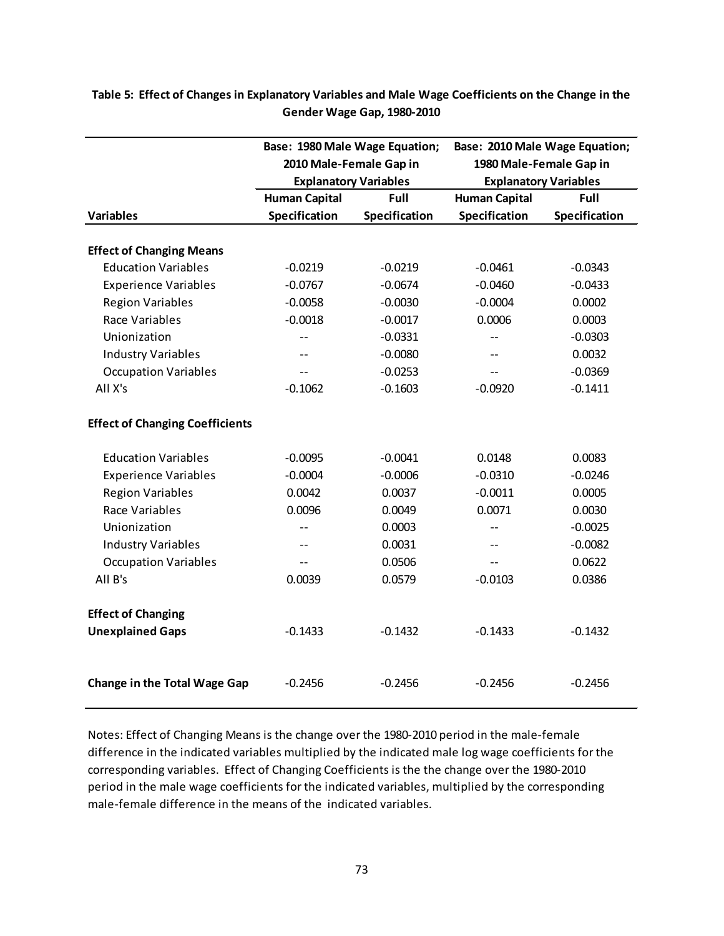|                                                               | Base: 1980 Male Wage Equation; |               | Base: 2010 Male Wage Equation; |                              |  |  |
|---------------------------------------------------------------|--------------------------------|---------------|--------------------------------|------------------------------|--|--|
|                                                               | 2010 Male-Female Gap in        |               | 1980 Male-Female Gap in        |                              |  |  |
|                                                               | <b>Explanatory Variables</b>   |               |                                | <b>Explanatory Variables</b> |  |  |
|                                                               | <b>Human Capital</b>           | Full          | <b>Human Capital</b>           | Full                         |  |  |
| <b>Variables</b>                                              | Specification                  | Specification | Specification                  | Specification                |  |  |
|                                                               |                                |               |                                |                              |  |  |
| <b>Effect of Changing Means</b><br><b>Education Variables</b> | $-0.0219$                      | $-0.0219$     | $-0.0461$                      | $-0.0343$                    |  |  |
| <b>Experience Variables</b>                                   | $-0.0767$                      | $-0.0674$     | $-0.0460$                      | $-0.0433$                    |  |  |
| <b>Region Variables</b>                                       | $-0.0058$                      | $-0.0030$     | $-0.0004$                      | 0.0002                       |  |  |
| Race Variables                                                | $-0.0018$                      | $-0.0017$     | 0.0006                         | 0.0003                       |  |  |
| Unionization                                                  |                                |               |                                |                              |  |  |
|                                                               | $-$                            | $-0.0331$     | $-$                            | $-0.0303$                    |  |  |
| <b>Industry Variables</b>                                     |                                | $-0.0080$     | $-$                            | 0.0032                       |  |  |
| <b>Occupation Variables</b>                                   |                                | $-0.0253$     | $-$                            | $-0.0369$                    |  |  |
| All X's                                                       | $-0.1062$                      | $-0.1603$     | $-0.0920$                      | $-0.1411$                    |  |  |
| <b>Effect of Changing Coefficients</b>                        |                                |               |                                |                              |  |  |
| <b>Education Variables</b>                                    | $-0.0095$                      | $-0.0041$     | 0.0148                         | 0.0083                       |  |  |
| <b>Experience Variables</b>                                   | $-0.0004$                      | $-0.0006$     | $-0.0310$                      | $-0.0246$                    |  |  |
| <b>Region Variables</b>                                       | 0.0042                         | 0.0037        | $-0.0011$                      | 0.0005                       |  |  |
| Race Variables                                                | 0.0096                         | 0.0049        | 0.0071                         | 0.0030                       |  |  |
| Unionization                                                  |                                | 0.0003        | $-$                            | $-0.0025$                    |  |  |
| <b>Industry Variables</b>                                     |                                | 0.0031        | $-$                            | $-0.0082$                    |  |  |
| <b>Occupation Variables</b>                                   |                                | 0.0506        | $-$                            | 0.0622                       |  |  |
| All B's                                                       | 0.0039                         | 0.0579        | $-0.0103$                      | 0.0386                       |  |  |
| <b>Effect of Changing</b>                                     |                                |               |                                |                              |  |  |
| <b>Unexplained Gaps</b>                                       | $-0.1433$                      | $-0.1432$     | $-0.1433$                      | $-0.1432$                    |  |  |
|                                                               |                                |               |                                |                              |  |  |
| <b>Change in the Total Wage Gap</b>                           | $-0.2456$                      | $-0.2456$     | $-0.2456$                      | $-0.2456$                    |  |  |

**Table 5: Effect of Changes in Explanatory Variables and Male Wage Coefficients on the Change in the Gender Wage Gap, 1980-2010**

Notes: Effect of Changing Means is the change over the 1980-2010 period in the male-female difference in the indicated variables multiplied by the indicated male log wage coefficients for the corresponding variables. Effect of Changing Coefficients is the the change over the 1980-2010 period in the male wage coefficients for the indicated variables, multiplied by the corresponding male-female difference in the means of the indicated variables.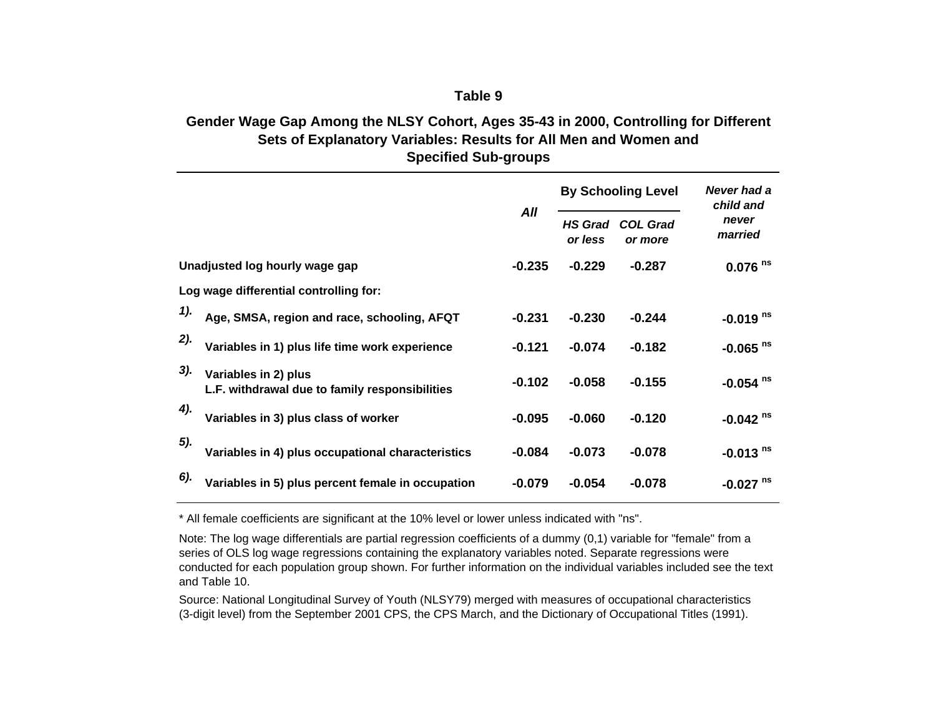## **Table 9**

## **Gender Wage Gap Among the NLSY Cohort, Ages 35-43 in 2000, Controlling for Different Sets of Explanatory Variables: Results for All Men and Women and Specified Sub-groups**

|     |                                                                        |          |                           | <b>By Schooling Level</b>  | Never had a<br>child and |  |
|-----|------------------------------------------------------------------------|----------|---------------------------|----------------------------|--------------------------|--|
|     |                                                                        | All      | <b>HS Grad</b><br>or less | <b>COL Grad</b><br>or more | never<br>married         |  |
|     | Unadjusted log hourly wage gap                                         | $-0.235$ | $-0.229$                  | $-0.287$                   | $0.076$ <sup>ns</sup>    |  |
|     | Log wage differential controlling for:                                 |          |                           |                            |                          |  |
| 1). | Age, SMSA, region and race, schooling, AFQT                            | $-0.231$ | $-0.230$                  | $-0.244$                   | $-0.019$ <sup>ns</sup>   |  |
| 2). | Variables in 1) plus life time work experience                         | $-0.121$ | $-0.074$                  | $-0.182$                   | $-0.065$ <sup>ns</sup>   |  |
| 3). | Variables in 2) plus<br>L.F. withdrawal due to family responsibilities | $-0.102$ | $-0.058$                  | $-0.155$                   | $-0.054$ <sup>ns</sup>   |  |
| 4). | Variables in 3) plus class of worker                                   | $-0.095$ | $-0.060$                  | $-0.120$                   | $-0.042$ <sup>ns</sup>   |  |
| 5). | Variables in 4) plus occupational characteristics                      | $-0.084$ | $-0.073$                  | $-0.078$                   | $-0.013$ <sup>ns</sup>   |  |
| 6). | Variables in 5) plus percent female in occupation                      | $-0.079$ | $-0.054$                  | $-0.078$                   | $-0.027$ <sup>ns</sup>   |  |

\* All female coefficients are significant at the 10% level or lower unless indicated with "ns".

Note: The log wage differentials are partial regression coefficients of a dummy (0,1) variable for "female" from a series of OLS log wage regressions containing the explanatory variables noted. Separate regressions were conducted for each population group shown. For further information on the individual variables included see the text and Table 10.

Source: National Longitudinal Survey of Youth (NLSY79) merged with measures of occupational characteristics (3-digit level) from the September 2001 CPS, the CPS March, and the Dictionary of Occupational Titles (1991).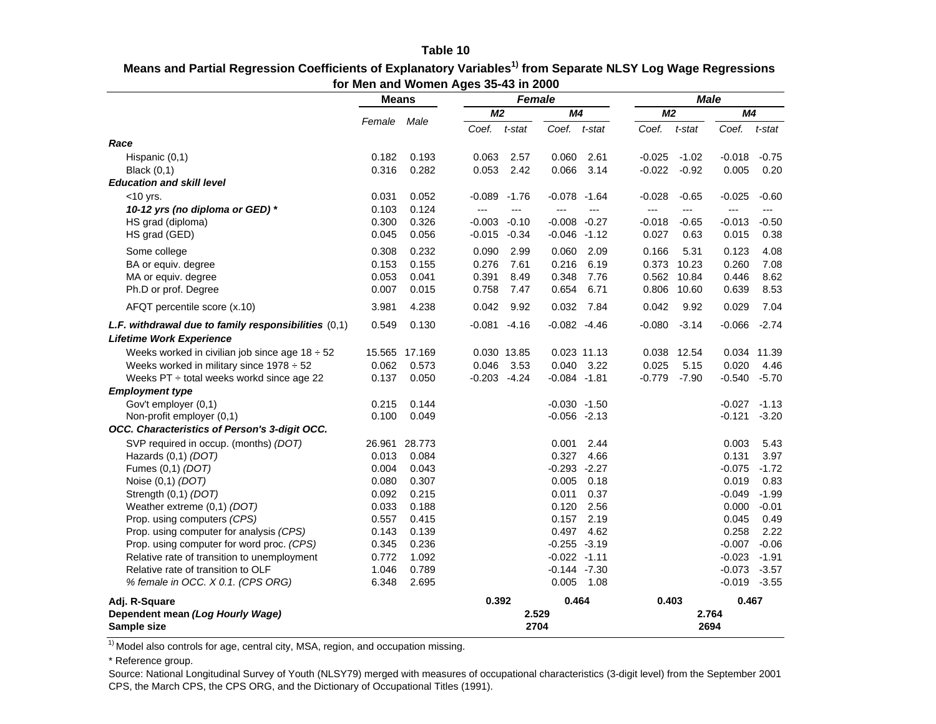#### **Table 10**

| Means and Partial Regression Coefficients of Explanatory Variables <sup>1)</sup> from Separate NLSY Log Wage Regressions |
|--------------------------------------------------------------------------------------------------------------------------|
| for Men and Women Ages 35-43 in 2000                                                                                     |

|                                                        | <b>Means</b> |               |                | Female      |                 |              | <b>Male</b>    |         |                |         |
|--------------------------------------------------------|--------------|---------------|----------------|-------------|-----------------|--------------|----------------|---------|----------------|---------|
|                                                        |              |               | M <sub>2</sub> |             | M4              |              | M <sub>2</sub> |         | M4             |         |
|                                                        | Female       | Male          | Coef.          | t-stat      | Coef.           | t-stat       | Coef.          | t-stat  | Coef.          | t-stat  |
| Race                                                   |              |               |                |             |                 |              |                |         |                |         |
| Hispanic $(0,1)$                                       | 0.182        | 0.193         | 0.063          | 2.57        | 0.060           | 2.61         | $-0.025$       | $-1.02$ | $-0.018$       | $-0.75$ |
| <b>Black</b> (0,1)                                     | 0.316        | 0.282         | 0.053          | 2.42        | 0.066           | 3.14         | $-0.022$       | $-0.92$ | 0.005          | 0.20    |
| <b>Education and skill level</b>                       |              |               |                |             |                 |              |                |         |                |         |
| $<$ 10 yrs.                                            | 0.031        | 0.052         | $-0.089$       | $-1.76$     | $-0.078 - 1.64$ |              | $-0.028$       | $-0.65$ | $-0.025$       | $-0.60$ |
| 10-12 yrs (no diploma or GED) *                        | 0.103        | 0.124         | $---$          | ---         | $-$ --          | ---          | $\overline{a}$ | $---$   | $---$          | ---     |
| HS grad (diploma)                                      | 0.300        | 0.326         | $-0.003$       | $-0.10$     | $-0.008 - 0.27$ |              | $-0.018$       | $-0.65$ | $-0.013$       | $-0.50$ |
| HS grad (GED)                                          | 0.045        | 0.056         | $-0.015$       | $-0.34$     | $-0.046 -1.12$  |              | 0.027          | 0.63    | 0.015          | 0.38    |
| Some college                                           | 0.308        | 0.232         | 0.090          | 2.99        | 0.060           | 2.09         | 0.166          | 5.31    | 0.123          | 4.08    |
| BA or equiv. degree                                    | 0.153        | 0.155         | 0.276          | 7.61        | 0.216           | 6.19         | 0.373          | 10.23   | 0.260          | 7.08    |
| MA or equiv. degree                                    | 0.053        | 0.041         | 0.391          | 8.49        | 0.348           | 7.76         | 0.562          | 10.84   | 0.446          | 8.62    |
| Ph.D or prof. Degree                                   | 0.007        | 0.015         | 0.758          | 7.47        | 0.654           | 6.71         | 0.806          | 10.60   | 0.639          | 8.53    |
| AFQT percentile score (x.10)                           | 3.981        | 4.238         | 0.042          | 9.92        | 0.032           | 7.84         | 0.042          | 9.92    | 0.029          | 7.04    |
| L.F. withdrawal due to family responsibilities $(0,1)$ | 0.549        | 0.130         | $-0.081$       | $-4.16$     | $-0.082 -4.46$  |              | $-0.080$       | $-3.14$ | $-0.066$       | $-2.74$ |
| <b>Lifetime Work Experience</b>                        |              |               |                |             |                 |              |                |         |                |         |
| Weeks worked in civilian job since age $18 \div 52$    |              | 15.565 17.169 |                | 0.030 13.85 |                 | 0.023 11.13  | 0.038          | 12.54   | 0.034          | 11.39   |
| Weeks worked in military since $1978 \div 52$          | 0.062        | 0.573         | 0.046          | 3.53        | 0.040           | 3.22         | 0.025          | 5.15    | 0.020          | 4.46    |
| Weeks PT ÷ total weeks workd since age 22              | 0.137        | 0.050         | $-0.203$       | $-4.24$     | $-0.084 - 1.81$ |              | $-0.779$       | $-7.90$ | $-0.540$       | $-5.70$ |
| <b>Employment type</b>                                 |              |               |                |             |                 |              |                |         |                |         |
| Gov't employer (0,1)                                   | 0.215        | 0.144         |                |             | $-0.030 -1.50$  |              |                |         | $-0.027$       | $-1.13$ |
| Non-profit employer (0,1)                              | 0.100        | 0.049         |                |             | $-0.056 -2.13$  |              |                |         | $-0.121$       | $-3.20$ |
| OCC. Characteristics of Person's 3-digit OCC.          |              |               |                |             |                 |              |                |         |                |         |
| SVP required in occup. (months) (DOT)                  | 26.961       | 28.773        |                |             | 0.001           | 2.44         |                |         | 0.003          | 5.43    |
| Hazards (0,1) (DOT)                                    | 0.013        | 0.084         |                |             | 0.327           | 4.66         |                |         | 0.131          | 3.97    |
| Fumes (0,1) (DOT)                                      | 0.004        | 0.043         |                |             | $-0.293 -2.27$  |              |                |         | $-0.075$       | $-1.72$ |
| Noise (0,1) (DOT)                                      | 0.080        | 0.307         |                |             | 0.005           | 0.18         |                |         | 0.019          | 0.83    |
| Strength (0,1) (DOT)                                   | 0.092        | 0.215         |                |             | 0.011           | 0.37         |                |         | $-0.049$       | $-1.99$ |
| Weather extreme (0,1) (DOT)                            | 0.033        | 0.188         |                |             | 0.120           | 2.56         |                |         | 0.000          | $-0.01$ |
| Prop. using computers (CPS)                            | 0.557        | 0.415         |                |             | 0.157           | 2.19         |                |         | 0.045          | 0.49    |
| Prop. using computer for analysis (CPS)                | 0.143        | 0.139         |                |             | 0.497           | 4.62         |                |         | 0.258          | 2.22    |
| Prop. using computer for word proc. (CPS)              | 0.345        | 0.236         |                |             | $-0.255 -3.19$  |              |                |         | $-0.007$       | $-0.06$ |
| Relative rate of transition to unemployment            | 0.772        | 1.092         |                |             | $-0.022 -1.11$  |              |                |         | $-0.023$       | $-1.91$ |
| Relative rate of transition to OLF                     | 1.046        | 0.789         |                |             | $-0.144 - 7.30$ |              |                |         | $-0.073$       | $-3.57$ |
| % female in OCC. X 0.1. (CPS ORG)                      | 6.348        | 2.695         |                |             |                 | $0.005$ 1.08 |                |         | $-0.019 -3.55$ |         |
| Adj. R-Square                                          |              |               | 0.392          |             | 0.464           |              | 0.403          |         | 0.467          |         |
| Dependent mean (Log Hourly Wage)<br>Sample size        |              |               |                |             | 2.529<br>2704   |              |                |         | 2.764<br>2694  |         |

 $\frac{1}{1}$  Model also controls for age, central city, MSA, region, and occupation missing.

\* Reference group.

Source: National Longitudinal Survey of Youth (NLSY79) merged with measures of occupational characteristics (3-digit level) from the September 2001 CPS, the March CPS, the CPS ORG, and the Dictionary of Occupational Titles (1991).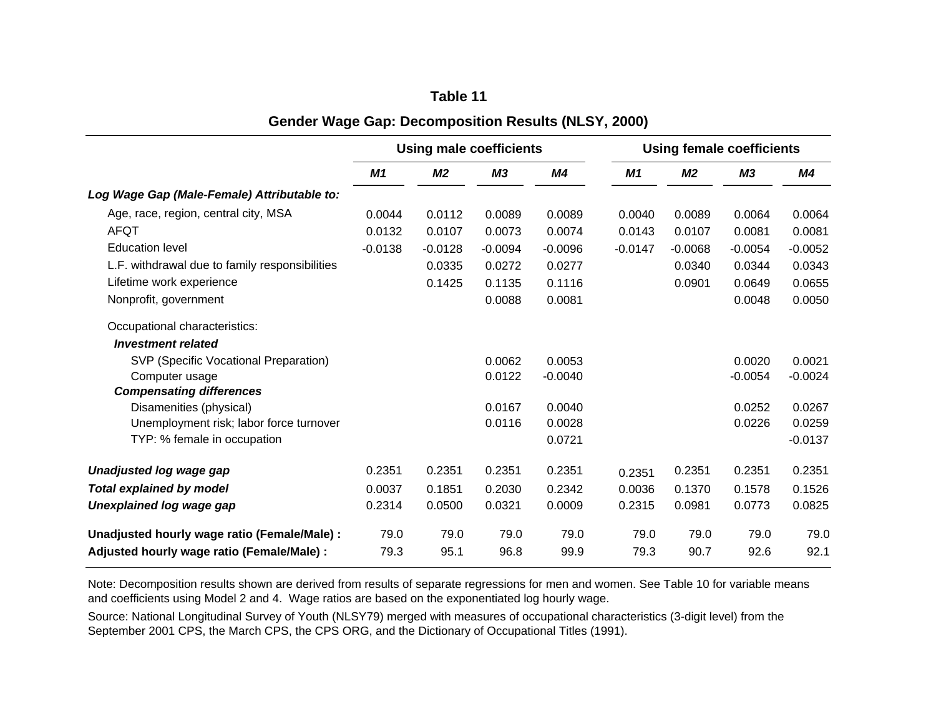|                                                | <b>Using male coefficients</b> |                |                |           |           | <b>Using female coefficients</b> |           |           |  |
|------------------------------------------------|--------------------------------|----------------|----------------|-----------|-----------|----------------------------------|-----------|-----------|--|
|                                                | M1                             | M <sub>2</sub> | M <sub>3</sub> | M4        | M1        | M <sub>2</sub>                   | M3        | M4        |  |
| Log Wage Gap (Male-Female) Attributable to:    |                                |                |                |           |           |                                  |           |           |  |
| Age, race, region, central city, MSA           | 0.0044                         | 0.0112         | 0.0089         | 0.0089    | 0.0040    | 0.0089                           | 0.0064    | 0.0064    |  |
| <b>AFQT</b>                                    | 0.0132                         | 0.0107         | 0.0073         | 0.0074    | 0.0143    | 0.0107                           | 0.0081    | 0.0081    |  |
| <b>Education level</b>                         | $-0.0138$                      | $-0.0128$      | $-0.0094$      | $-0.0096$ | $-0.0147$ | $-0.0068$                        | $-0.0054$ | $-0.0052$ |  |
| L.F. withdrawal due to family responsibilities |                                | 0.0335         | 0.0272         | 0.0277    |           | 0.0340                           | 0.0344    | 0.0343    |  |
| Lifetime work experience                       |                                | 0.1425         | 0.1135         | 0.1116    |           | 0.0901                           | 0.0649    | 0.0655    |  |
| Nonprofit, government                          |                                |                | 0.0088         | 0.0081    |           |                                  | 0.0048    | 0.0050    |  |
| Occupational characteristics:                  |                                |                |                |           |           |                                  |           |           |  |
| <b>Investment related</b>                      |                                |                |                |           |           |                                  |           |           |  |
| SVP (Specific Vocational Preparation)          |                                |                | 0.0062         | 0.0053    |           |                                  | 0.0020    | 0.0021    |  |
| Computer usage                                 |                                |                | 0.0122         | $-0.0040$ |           |                                  | $-0.0054$ | $-0.0024$ |  |
| <b>Compensating differences</b>                |                                |                |                |           |           |                                  |           |           |  |
| Disamenities (physical)                        |                                |                | 0.0167         | 0.0040    |           |                                  | 0.0252    | 0.0267    |  |
| Unemployment risk; labor force turnover        |                                |                | 0.0116         | 0.0028    |           |                                  | 0.0226    | 0.0259    |  |
| TYP: % female in occupation                    |                                |                |                | 0.0721    |           |                                  |           | $-0.0137$ |  |
| Unadjusted log wage gap                        | 0.2351                         | 0.2351         | 0.2351         | 0.2351    | 0.2351    | 0.2351                           | 0.2351    | 0.2351    |  |
| <b>Total explained by model</b>                | 0.0037                         | 0.1851         | 0.2030         | 0.2342    | 0.0036    | 0.1370                           | 0.1578    | 0.1526    |  |
| Unexplained log wage gap                       | 0.2314                         | 0.0500         | 0.0321         | 0.0009    | 0.2315    | 0.0981                           | 0.0773    | 0.0825    |  |
| Unadjusted hourly wage ratio (Female/Male) :   | 79.0                           | 79.0           | 79.0           | 79.0      | 79.0      | 79.0                             | 79.0      | 79.0      |  |
| Adjusted hourly wage ratio (Female/Male) :     | 79.3                           | 95.1           | 96.8           | 99.9      | 79.3      | 90.7                             | 92.6      | 92.1      |  |

# **Table 11**

**Gender Wage Gap: Decomposition Results (NLSY, 2000)**

Note: Decomposition results shown are derived from results of separate regressions for men and women. See Table 10 for variable means and coefficients using Model 2 and 4. Wage ratios are based on the exponentiated log hourly wage.

Source: National Longitudinal Survey of Youth (NLSY79) merged with measures of occupational characteristics (3-digit level) from the September 2001 CPS, the March CPS, the CPS ORG, and the Dictionary of Occupational Titles (1991).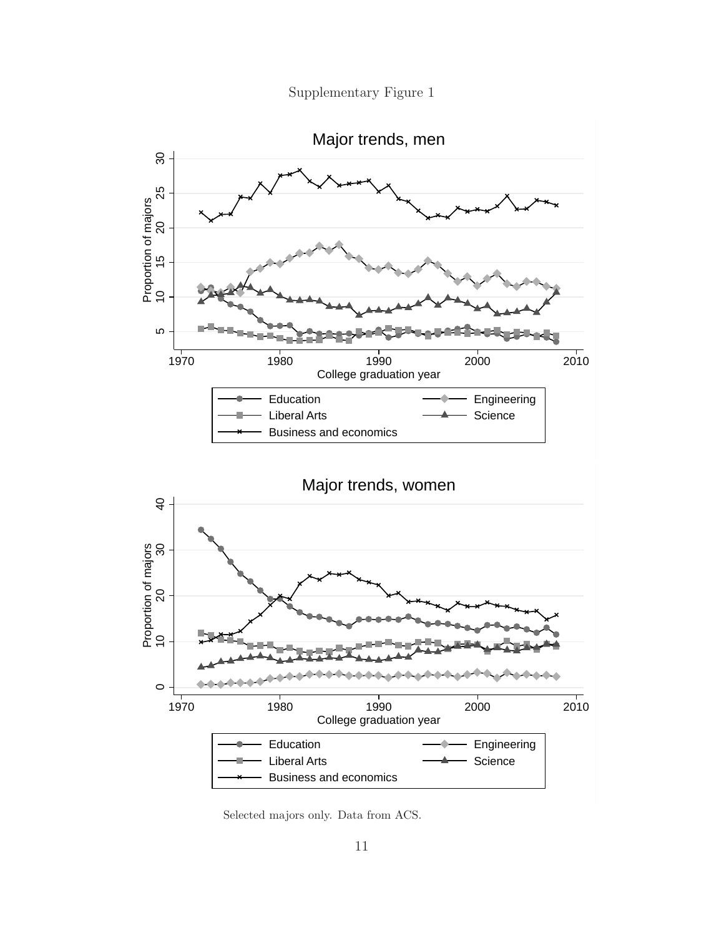Supplementary Figure 1



Selected majors only. Data from ACS.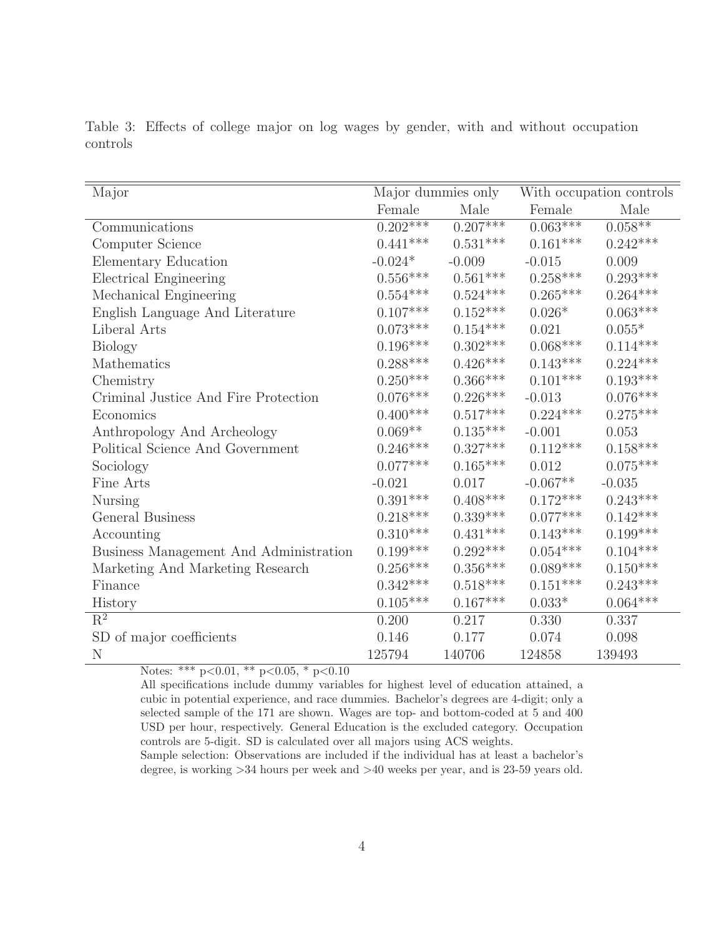| Major                                  | Major dummies only             |                        | With occupation controls |                        |  |
|----------------------------------------|--------------------------------|------------------------|--------------------------|------------------------|--|
|                                        | Female                         | Male                   | Female                   | Male                   |  |
| Communications                         | $0.202***$                     | $0.207***$             | $0.063***$               | $0.058**$              |  |
| Computer Science                       | $0.441***$                     | $0.531***$             | $0.161***$               | $0.242***$             |  |
| Elementary Education                   | $-0.024\ensuremath{^*}\xspace$ | $-0.009$               | $-0.015$                 | 0.009                  |  |
| <b>Electrical Engineering</b>          | $0.556***$                     | $0.561^{***}\;$        | $0.258^{***}\,$          | $0.293***$             |  |
| Mechanical Engineering                 | $0.554***$                     | $0.524^{***}\,$        | $0.265***$               | $0.264^{***}\,$        |  |
| English Language And Literature        | $0.107***$                     | $0.152***$             | $0.026*$                 | $0.063^{***}\,$        |  |
| Liberal Arts                           | $0.073***$                     | $0.154^{***}\,$        | 0.021                    | $0.055*$               |  |
| <b>Biology</b>                         | $0.196***$                     | $0.302^{***}\,$        | $0.068***$               | $0.114^{***}\;$        |  |
| Mathematics                            | $0.288***$                     | $0.426***$             | $0.143***$               | $0.224^{***}\,$        |  |
| Chemistry                              | $0.250***$                     | $0.366^{\ast\ast\ast}$ | $0.101***$               | $0.193^{***}\,$        |  |
| Criminal Justice And Fire Protection   | $0.076***$                     | $0.226***$             | $-0.013$                 | $0.076^{\ast\ast\ast}$ |  |
| Economics                              | $0.400***$                     | $0.517^{***}\,$        | $0.224***$               | $0.275^{***}\,$        |  |
| Anthropology And Archeology            | $0.069**$                      | $0.135^{***}\,$        | $-0.001$                 | 0.053                  |  |
| Political Science And Government       | $0.246***$                     | $0.327***$             | $0.112***$               | $0.158***$             |  |
| Sociology                              | $0.077***$                     | $0.165***$             | 0.012                    | $0.075***$             |  |
| Fine Arts                              | $-0.021$                       | 0.017                  | $-0.067**$               | $-0.035$               |  |
| <b>Nursing</b>                         | $0.391***$                     | $0.408***$             | $0.172***$               | $0.243***$             |  |
| General Business                       | $0.218***$                     | $0.339^{***}\,$        | $0.077***$               | $0.142^{***}\,$        |  |
| Accounting                             | $0.310***$                     | $0.431***$             | $0.143***$               | $0.199^{***}\;$        |  |
| Business Management And Administration | $0.199***$                     | $0.292***$             | $0.054^{***}\,$          | $0.104^{***}\;$        |  |
| Marketing And Marketing Research       | $0.256***$                     | $0.356^{\ast\ast\ast}$ | $0.089^{***}\,$          | $0.150^{***}\,$        |  |
| Finance                                | $0.342***$                     | $0.518^{***}\,$        | $0.151***$               | $0.243^{***}\,$        |  |
| History                                | $0.105***$                     | $0.167***$             | $0.033*$                 | $0.064^{***}\,$        |  |
| $R^2$                                  | 0.200                          | 0.217                  | 0.330                    | 0.337                  |  |
| SD of major coefficients               | 0.146                          | 0.177                  | 0.074                    | 0.098                  |  |
| N                                      | 125794                         | 140706                 | 124858                   | 139493                 |  |

Table 3: Effects of college major on log wages by gender, with and without occupation

Notes: \*\*\* p<0.01, \*\* p<0.05, \* p<0.10

All specifications include dummy variables for highest level of education attained, a cubic in potential experience, and race dummies. Bachelor's degrees are 4-digit; only a selected sample of the 171 are shown. Wages are top- and bottom-coded at 5 and 400 USD per hour, respectively. General Education is the excluded category. Occupation controls are 5-digit. SD is calculated over all majors using ACS weights.

Sample selection: Observations are included if the individual has at least a bachelor's degree, is working >34 hours per week and >40 weeks per year, and is 23-59 years old.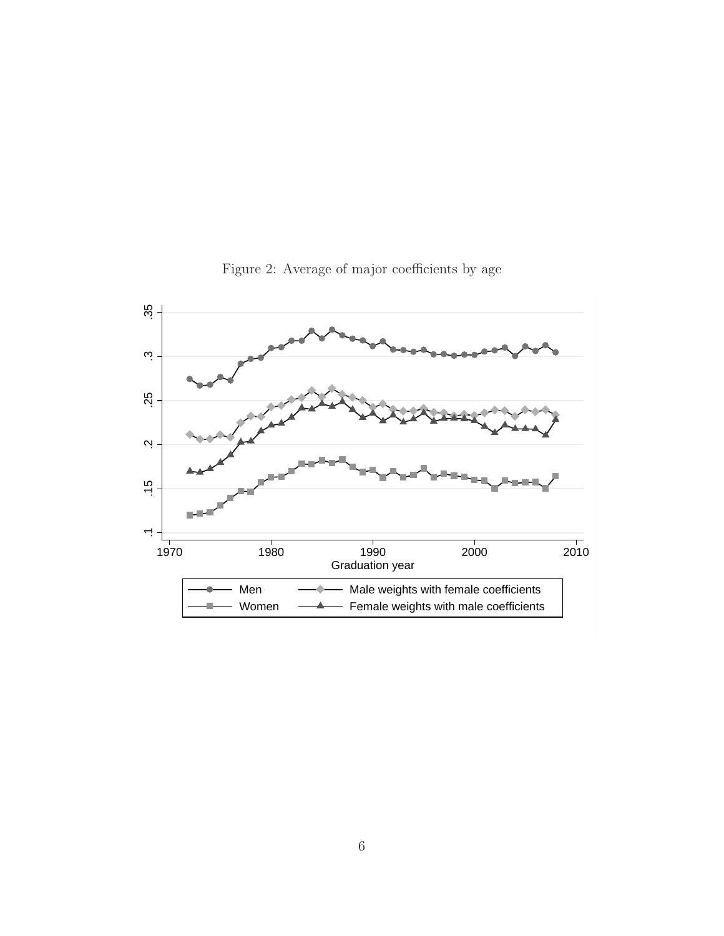

Figure 2: Average of major coefficients by age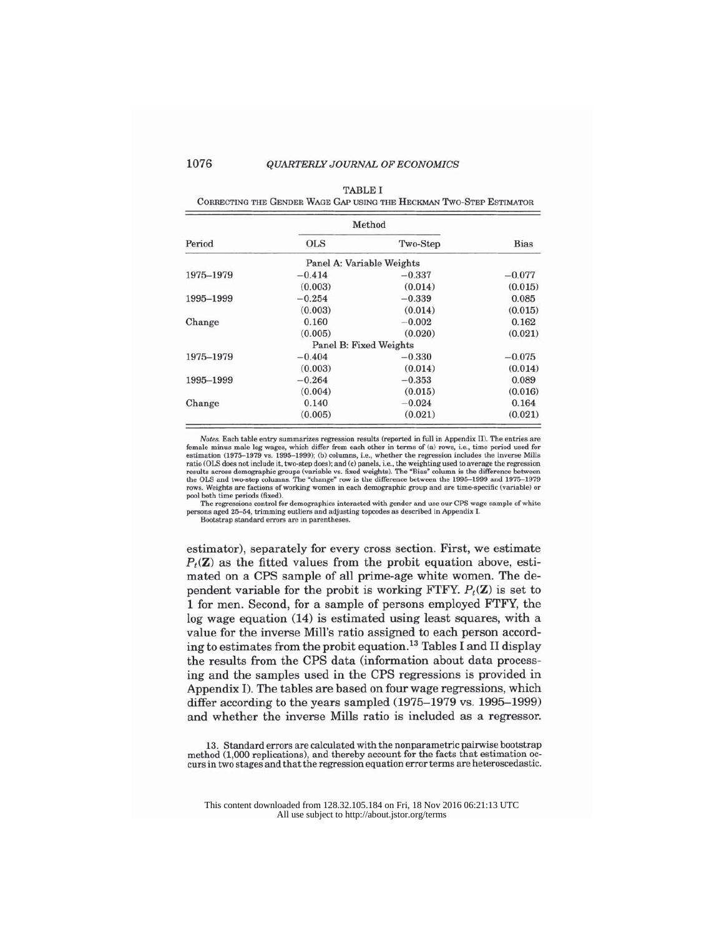#### QUARTERLY JOURNAL OF ECONOMICS

| <b>TABLE I</b> |
|----------------|
|                |
|                |

CORRECTING THE GENDER WAGE GAP USING THE HECKMAN TWO-STEP ESTIMATOR

|           |                           | Method   |             |
|-----------|---------------------------|----------|-------------|
| Period    | <b>OLS</b>                | Two-Step | <b>Bias</b> |
|           | Panel A: Variable Weights |          |             |
| 1975-1979 | $-0.414$                  | $-0.337$ | $-0.077$    |
|           | (0.003)                   | (0.014)  | (0.015)     |
| 1995-1999 | $-0.254$                  | $-0.339$ | 0.085       |
|           | (0.003)                   | (0.014)  | (0.015)     |
| Change    | 0.160                     | $-0.002$ | 0.162       |
|           | (0.005)                   | (0.020)  | (0.021)     |
|           | Panel B: Fixed Weights    |          |             |
| 1975-1979 | $-0.404$                  | $-0.330$ | $-0.075$    |
|           | (0.003)                   | (0.014)  | (0.014)     |
| 1995-1999 | $-0.264$                  | $-0.353$ | 0.089       |
|           | (0.004)                   | (0.015)  | (0.016)     |
| Change    | 0.140                     | $-0.024$ | 0.164       |
|           | (0.005)                   | (0.021)  | (0.021)     |

*Notes.* Each table entry summarizes regression results (reported in full in Appendix II). The entries are female minus male log wages, which differ from each other in terms of (a) rows, i.e., time period used for estimat pool both time periods (fixed).

The regressions control for demographics interacted with gender and use our CPS wage sample of white sons aged 25-54, trimming outliers and adjusting topcodes as described in Appendix I

Bootstrap standard errors are in parentheses

estimator), separately for every cross section. First, we estimate  $P_t(\mathbf{Z})$  as the fitted values from the probit equation above, estimated on a CPS sample of all prime-age white women. The dependent variable for the probit is working FTFY.  $P_t(\mathbf{Z})$  is set to 1 for men. Second, for a sample of persons employed FTFY, the log wage equation (14) is estimated using least squares, with a value for the inverse Mill's ratio assigned to each person according to estimates from the probit equation.<sup>13</sup> Tables I and II display the results from the CPS data (information about data processing and the samples used in the CPS regressions is provided in Appendix I). The tables are based on four wage regressions, which differ according to the years sampled (1975-1979 vs. 1995-1999) and whether the inverse Mills ratio is included as a regressor.

13. Standard errors are calculated with the nonparametric pairwise bootstrap method (1,000 replications), and thereby account for the facts that estimation occurs in two stages and that the regression equation error terms are heteroscedastic.

1076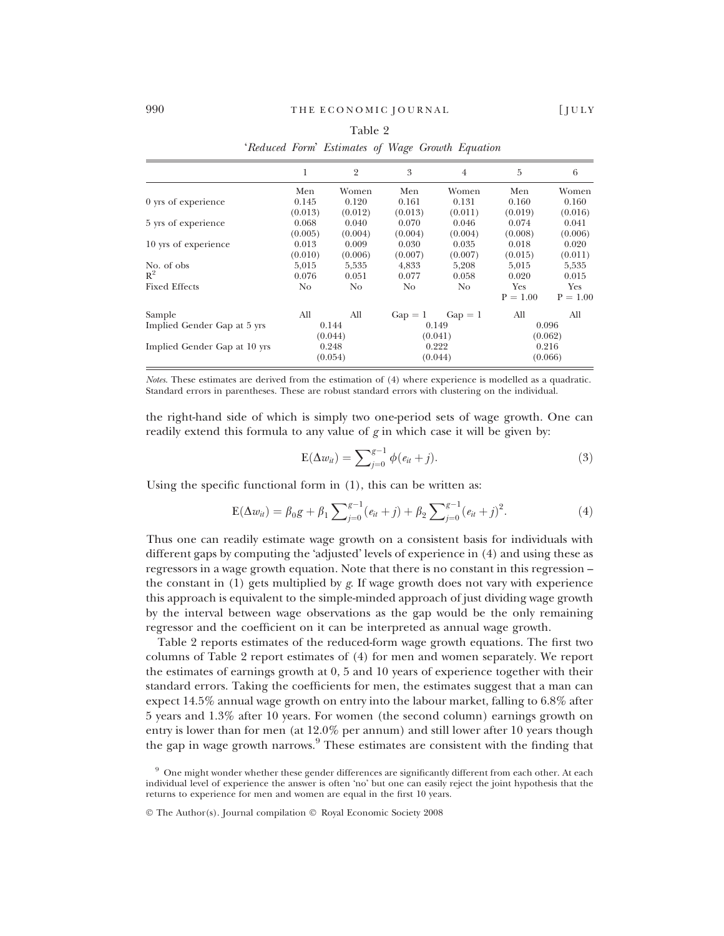|                              | 1              | $\overline{2}$ | 3         | $\overline{4}$ | 5          | 6          |
|------------------------------|----------------|----------------|-----------|----------------|------------|------------|
|                              | Men            | Women          | Men       | Women          | Men        | Women      |
| 0 yrs of experience          | 0.145          | 0.120          | 0.161     | 0.131          | 0.160      | 0.160      |
|                              | (0.013)        | (0.012)        | (0.013)   | (0.011)        | (0.019)    | (0.016)    |
| 5 yrs of experience          | 0.068          | 0.040          | 0.070     | 0.046          | 0.074      | 0.041      |
|                              | (0.005)        | (0.004)        | (0.004)   | (0.004)        | (0.008)    | (0.006)    |
| 10 yrs of experience         | 0.013          | 0.009          | 0.030     | 0.035          | 0.018      | 0.020      |
|                              | (0.010)        | (0.006)        | (0.007)   | (0.007)        | (0.015)    | (0.011)    |
| No. of obs                   | 5.015          | 5.535          | 4.833     | 5.208          | 5.015      | 5,535      |
| $R^2$                        | 0.076          | 0.051          | 0.077     | 0.058          | 0.020      | 0.015      |
| <b>Fixed Effects</b>         | N <sub>o</sub> | No.            | No        | N <sub>o</sub> | <b>Yes</b> | Yes        |
|                              |                |                |           |                | $P = 1.00$ | $P = 1.00$ |
| Sample                       | All            | All            | $Gap = 1$ | $Gap = 1$      | All        | All        |
| Implied Gender Gap at 5 yrs  |                | 0.144          |           | 0.149          |            | 0.096      |
|                              |                | (0.044)        |           | (0.041)        |            | (0.062)    |
| Implied Gender Gap at 10 yrs |                | 0.248          | 0.222     |                | 0.216      |            |
|                              |                | (0.054)        |           | (0.044)        |            | (0.066)    |

Table 2 'Reduced Form' Estimates of Wage Growth Equation

Notes. These estimates are derived from the estimation of (4) where experience is modelled as a quadratic. Standard errors in parentheses. These are robust standard errors with clustering on the individual.

the right-hand side of which is simply two one-period sets of wage growth. One can readily extend this formula to any value of  $g$  in which case it will be given by:

$$
E(\Delta w_{it}) = \sum_{j=0}^{g-1} \phi(e_{it} + j).
$$
 (3)

Using the specific functional form in (1), this can be written as:

$$
E(\Delta w_{it}) = \beta_0 g + \beta_1 \sum_{j=0}^{g-1} (e_{it} + j) + \beta_2 \sum_{j=0}^{g-1} (e_{it} + j)^2.
$$
 (4)

Thus one can readily estimate wage growth on a consistent basis for individuals with different gaps by computing the 'adjusted' levels of experience in (4) and using these as regressors in a wage growth equation. Note that there is no constant in this regression – the constant in  $(1)$  gets multiplied by g. If wage growth does not vary with experience this approach is equivalent to the simple-minded approach of just dividing wage growth by the interval between wage observations as the gap would be the only remaining regressor and the coefficient on it can be interpreted as annual wage growth.

Table 2 reports estimates of the reduced-form wage growth equations. The first two columns of Table 2 report estimates of (4) for men and women separately. We report the estimates of earnings growth at 0, 5 and 10 years of experience together with their standard errors. Taking the coefficients for men, the estimates suggest that a man can expect 14.5% annual wage growth on entry into the labour market, falling to 6.8% after 5 years and 1.3% after 10 years. For women (the second column) earnings growth on entry is lower than for men (at 12.0% per annum) and still lower after 10 years though the gap in wage growth narrows.<sup>9</sup> These estimates are consistent with the finding that

<sup>&</sup>lt;sup>9</sup> One might wonder whether these gender differences are significantly different from each other. At each individual level of experience the answer is often 'no' but one can easily reject the joint hypothesis that the returns to experience for men and women are equal in the first 10 years.

<sup>©</sup> The Author(s). Journal compilation © Royal Economic Society 2008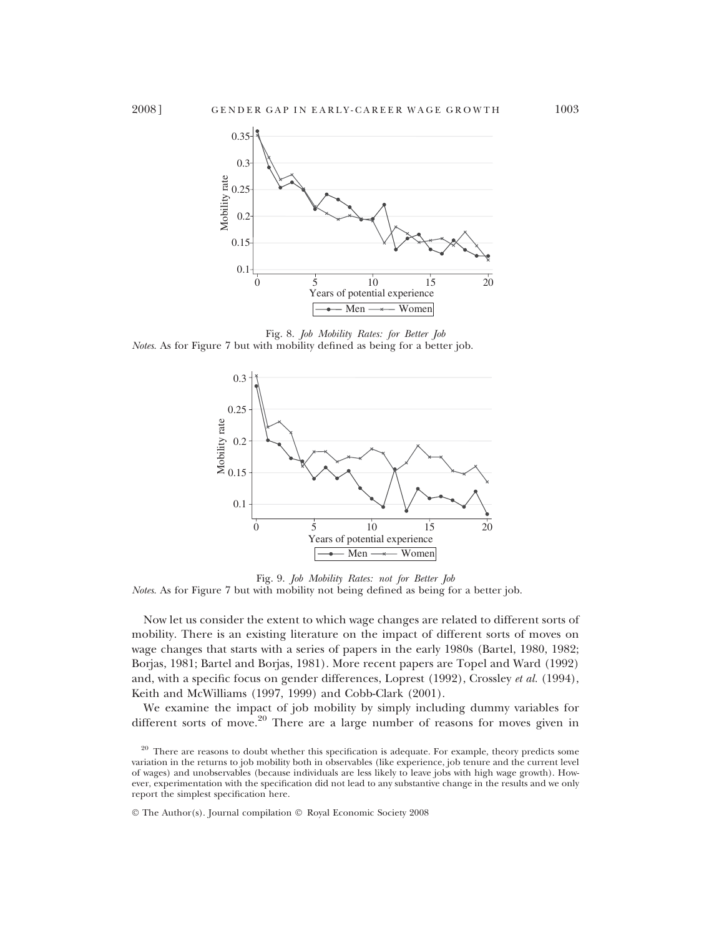

Fig. 8. Job Mobility Rates: for Better Job Notes. As for Figure 7 but with mobility defined as being for a better job.



Fig. 9. Job Mobility Rates: not for Better Job Notes. As for Figure 7 but with mobility not being defined as being for a better job.

Now let us consider the extent to which wage changes are related to different sorts of mobility. There is an existing literature on the impact of different sorts of moves on wage changes that starts with a series of papers in the early 1980s (Bartel, 1980, 1982; Borjas, 1981; Bartel and Borjas, 1981). More recent papers are Topel and Ward (1992) and, with a specific focus on gender differences, Loprest (1992), Crossley et al. (1994), Keith and McWilliams (1997, 1999) and Cobb-Clark (2001).

We examine the impact of job mobility by simply including dummy variables for different sorts of move.<sup>20</sup> There are a large number of reasons for moves given in

© The Author(s). Journal compilation © Royal Economic Society 2008

<sup>&</sup>lt;sup>20</sup> There are reasons to doubt whether this specification is adequate. For example, theory predicts some variation in the returns to job mobility both in observables (like experience, job tenure and the current level of wages) and unobservables (because individuals are less likely to leave jobs with high wage growth). However, experimentation with the specification did not lead to any substantive change in the results and we only report the simplest specification here.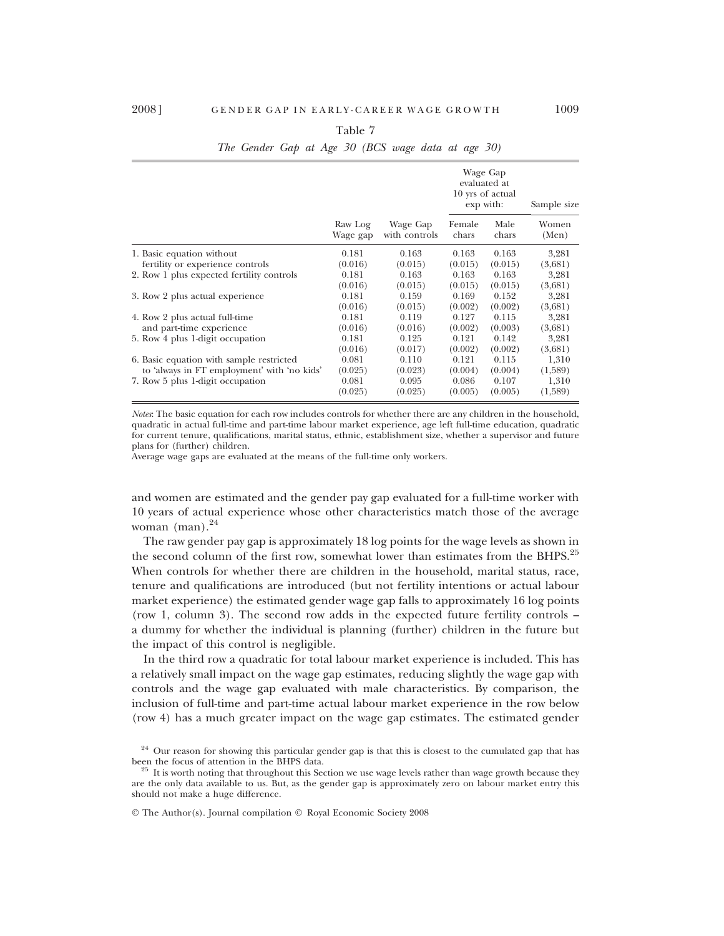|                                             |                     |                           | Wage Gap<br>evaluated at<br>10 yrs of actual<br>exp with: | Sample size   |                |
|---------------------------------------------|---------------------|---------------------------|-----------------------------------------------------------|---------------|----------------|
|                                             | Raw Log<br>Wage gap | Wage Gap<br>with controls | Female<br>chars                                           | Male<br>chars | Women<br>(Men) |
| 1. Basic equation without                   | 0.181               | 0.163                     | 0.163                                                     | 0.163         | 3,281          |
| fertility or experience controls            | (0.016)             | (0.015)                   | (0.015)                                                   | (0.015)       | (3,681)        |
| 2. Row 1 plus expected fertility controls   | 0.181               | 0.163                     | 0.163                                                     | 0.163         | 3,281          |
|                                             | (0.016)             | (0.015)                   | (0.015)                                                   | (0.015)       | (3,681)        |
| 3. Row 2 plus actual experience             | 0.181               | 0.159                     | 0.169                                                     | 0.152         | 3,281          |
|                                             | (0.016)             | (0.015)                   | (0.002)                                                   | (0.002)       | (3,681)        |
| 4. Row 2 plus actual full-time              | 0.181               | 0.119                     | 0.127                                                     | 0.115         | 3,281          |
| and part-time experience                    | (0.016)             | (0.016)                   | (0.002)                                                   | (0.003)       | (3,681)        |
| 5. Row 4 plus 1-digit occupation            | 0.181               | 0.125                     | 0.121                                                     | 0.142         | 3,281          |
|                                             | (0.016)             | (0.017)                   | (0.002)                                                   | (0.002)       | (3,681)        |
| 6. Basic equation with sample restricted    | 0.081               | 0.110                     | 0.121                                                     | 0.115         | 1,310          |
| to 'always in FT employment' with 'no kids' | (0.025)             | (0.023)                   | (0.004)                                                   | (0.004)       | (1,589)        |
| 7. Row 5 plus 1-digit occupation            | 0.081               | 0.095                     | 0.086                                                     | 0.107         | 1,310          |
|                                             | (0.025)             | (0.025)                   | (0.005)                                                   | (0.005)       | (1,589)        |

## Table 7 The Gender Gap at Age 30 (BCS wage data at age 30)

Notes: The basic equation for each row includes controls for whether there are any children in the household, quadratic in actual full-time and part-time labour market experience, age left full-time education, quadratic for current tenure, qualifications, marital status, ethnic, establishment size, whether a supervisor and future plans for (further) children.

Average wage gaps are evaluated at the means of the full-time only workers.

and women are estimated and the gender pay gap evaluated for a full-time worker with 10 years of actual experience whose other characteristics match those of the average woman  $(man).^{24}$ 

The raw gender pay gap is approximately 18 log points for the wage levels as shown in the second column of the first row, somewhat lower than estimates from the BHPS.<sup>25</sup> When controls for whether there are children in the household, marital status, race, tenure and qualifications are introduced (but not fertility intentions or actual labour market experience) the estimated gender wage gap falls to approximately 16 log points (row 1, column 3). The second row adds in the expected future fertility controls – a dummy for whether the individual is planning (further) children in the future but the impact of this control is negligible.

In the third row a quadratic for total labour market experience is included. This has a relatively small impact on the wage gap estimates, reducing slightly the wage gap with controls and the wage gap evaluated with male characteristics. By comparison, the inclusion of full-time and part-time actual labour market experience in the row below (row 4) has a much greater impact on the wage gap estimates. The estimated gender

 $24$  Our reason for showing this particular gender gap is that this is closest to the cumulated gap that has been the focus of attention in the BHPS data.

 $25$  It is worth noting that throughout this Section we use wage levels rather than wage growth because they are the only data available to us. But, as the gender gap is approximately zero on labour market entry this should not make a huge difference.

<sup>©</sup> The Author(s). Journal compilation © Royal Economic Society 2008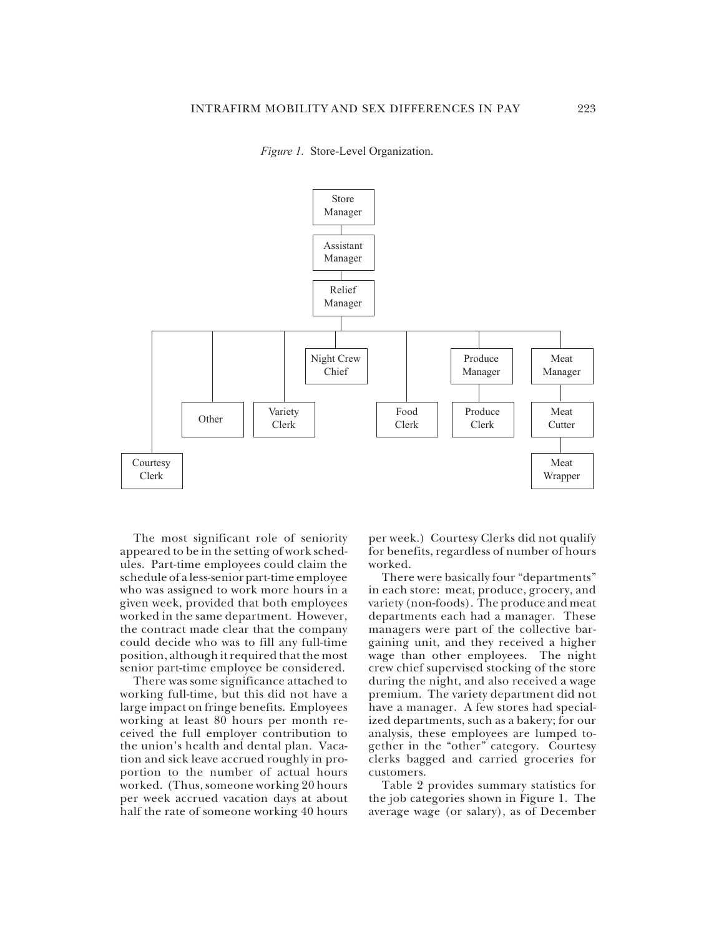

*Figure 1.* Store-Level Organization.



The most significant role of seniority appeared to be in the setting of work schedules. Part-time employees could claim the schedule of a less-senior part-time employee who was assigned to work more hours in a given week, provided that both employees worked in the same department. However, the contract made clear that the company could decide who was to fill any full-time position, although it required that the most senior part-time employee be considered.

There was some significance attached to working full-time, but this did not have a large impact on fringe benefits. Employees working at least 80 hours per month received the full employer contribution to the union's health and dental plan. Vacation and sick leave accrued roughly in proportion to the number of actual hours worked. (Thus, someone working 20 hours per week accrued vacation days at about half the rate of someone working 40 hours

per week.) Courtesy Clerks did not qualify for benefits, regardless of number of hours worked.

There were basically four "departments" in each store: meat, produce, grocery, and variety (non-foods). The produce and meat departments each had a manager. These managers were part of the collective bargaining unit, and they received a higher wage than other employees. The night crew chief supervised stocking of the store during the night, and also received a wage premium. The variety department did not have a manager. A few stores had specialized departments, such as a bakery; for our analysis, these employees are lumped together in the "other" category. Courtesy clerks bagged and carried groceries for customers.

Table 2 provides summary statistics for the job categories shown in Figure 1. The average wage (or salary), as of December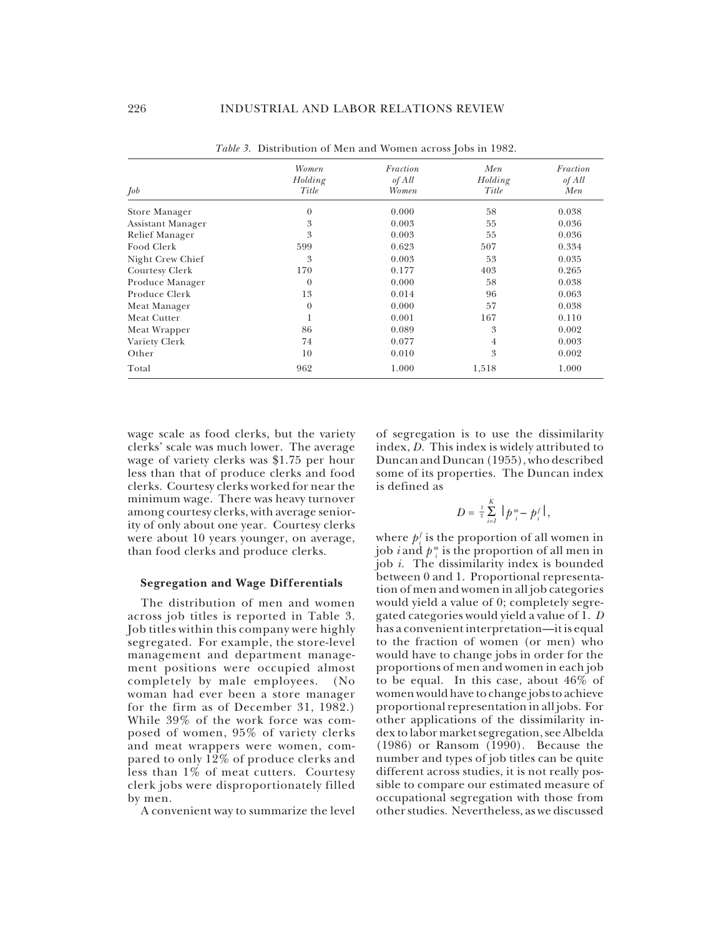|                   | Women    | Fraction | Men     | Fraction |
|-------------------|----------|----------|---------|----------|
|                   | Holding  | of All   | Holding | of All   |
| Job               | Title    | Women    | Title   | Men      |
| Store Manager     | $\theta$ | 0.000    | 58      | 0.038    |
| Assistant Manager | 3        | 0.003    | 55      | 0.036    |
| Relief Manager    | 3        | 0.003    | 55      | 0.036    |
| Food Clerk        | 599      | 0.623    | 507     | 0.334    |
| Night Crew Chief  | 3        | 0.003    | 53      | 0.035    |
| Courtesy Clerk    | 170      | 0.177    | 403     | 0.265    |
| Produce Manager   | $\theta$ | 0.000    | 58      | 0.038    |
| Produce Clerk     | 13       | 0.014    | 96      | 0.063    |
| Meat Manager      | $\theta$ | 0.000    | 57      | 0.038    |
| Meat Cutter       |          | 0.001    | 167     | 0.110    |
| Meat Wrapper      | 86       | 0.089    | 3       | 0.002    |
| Variety Clerk     | 74       | 0.077    | 4       | 0.003    |
| Other             | 10       | 0.010    | 3       | 0.002    |
| Total             | 962      | 1.000    | 1,518   | 1.000    |

*Table 3.* Distribution of Men and Women across Jobs in 1982.

wage scale as food clerks, but the variety clerks' scale was much lower. The average wage of variety clerks was \$1.75 per hour less than that of produce clerks and food clerks. Courtesy clerks worked for near the minimum wage. There was heavy turnover among courtesy clerks, with average seniority of only about one year. Courtesy clerks were about 10 years younger, on average, than food clerks and produce clerks.

#### **Segregation and Wage Differentials**

The distribution of men and women across job titles is reported in Table 3. Job titles within this company were highly segregated. For example, the store-level management and department management positions were occupied almost completely by male employees. (No woman had ever been a store manager for the firm as of December 31, 1982.) While 39% of the work force was composed of women, 95% of variety clerks and meat wrappers were women, compared to only  $12\%$  of produce clerks and less than 1% of meat cutters. Courtesy clerk jobs were disproportionately filled by men.

A convenient way to summarize the level

of segregation is to use the dissimilarity index, *D.* This index is widely attributed to Duncan and Duncan (1955), who described some of its properties. The Duncan index is defined as

$$
D = \frac{1}{2} \sum_{i=1}^{K} |p_{i}^{m} - p_{i}^{f}|,
$$

where  $p_i^f$  is the proportion of all women in job *i* and  $p^m$  is the proportion of all men in job *i.* The dissimilarity index is bounded between 0 and 1. Proportional representation of men and women in all job categories would yield a value of 0; completely segregated categories would yield a value of 1. *D* has a convenient interpretation—it is equal to the fraction of women (or men) who would have to change jobs in order for the proportions of men and women in each job to be equal. In this case, about 46% of women would have to change jobs to achieve proportional representation in all jobs. For other applications of the dissimilarity index to labor market segregation, see Albelda (1986) or Ransom (1990). Because the number and types of job titles can be quite different across studies, it is not really possible to compare our estimated measure of occupational segregation with those from other studies. Nevertheless, as we discussed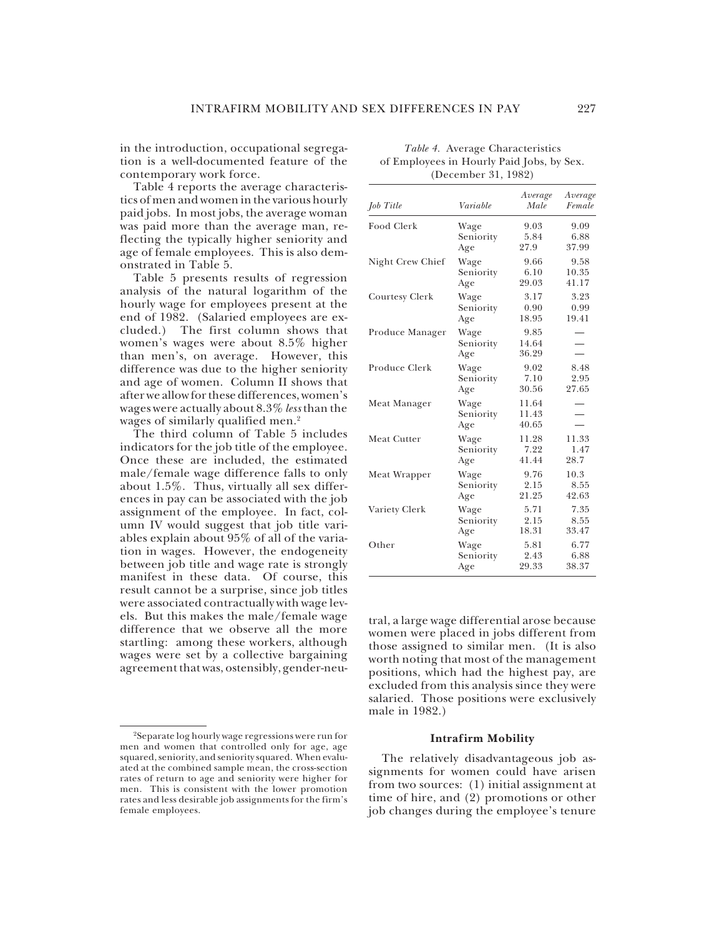in the introduction, occupational segregation is a well-documented feature of the contemporary work force.

Table 4 reports the average characteristics of men and women in the various hourly paid jobs. In most jobs, the average woman was paid more than the average man, reflecting the typically higher seniority and age of female employees. This is also demonstrated in Table 5.

Table 5 presents results of regression analysis of the natural logarithm of the hourly wage for employees present at the end of 1982. (Salaried employees are excluded.) The first column shows that women's wages were about 8.5% higher than men's, on average. However, this difference was due to the higher seniority and age of women. Column II shows that after we allow for these differences, women's wages were actually about 8.3% *less* than the wages of similarly qualified men.<sup>2</sup>

The third column of Table 5 includes indicators for the job title of the employee. Once these are included, the estimated male/female wage difference falls to only about 1.5%. Thus, virtually all sex differences in pay can be associated with the job assignment of the employee. In fact, column IV would suggest that job title variables explain about 95% of all of the variation in wages. However, the endogeneity between job title and wage rate is strongly manifest in these data. Of course, this result cannot be a surprise, since job titles were associated contractually with wage levels. But this makes the male/female wage difference that we observe all the more startling: among these workers, although wages were set by a collective bargaining agreement that was, ostensibly, gender-neu-

| Job Title          | Variable                 | Average<br>Male         | Average<br>Female |
|--------------------|--------------------------|-------------------------|-------------------|
| Food Clerk         | Wage                     | 9.03                    | 9.09              |
|                    | Seniority                | 5.84                    | 6.88              |
|                    | Age                      | 27.9                    | 37.99             |
| Night Crew Chief   | Wage                     | 9.66                    | 9.58              |
|                    | Seniority                | 6.10                    | 10.35             |
|                    | Age                      | 29.03                   | 41.17             |
| Courtesy Clerk     | Wage                     | 3.17                    | 3.23              |
|                    | Seniority                | 0.90                    | 0.99              |
|                    | Age                      | 18.95                   | 19.41             |
| Produce Manager    | Wage<br>Seniority<br>Age | 9.85<br>14.64<br>36.29  |                   |
| Produce Clerk      | Wage                     | 9.02                    | 8.48              |
|                    | Seniority                | 7.10                    | 2.95              |
|                    | Age                      | 30.56                   | 27.65             |
| Meat Manager       | Wage<br>Seniority<br>Age | 11.64<br>11.43<br>40.65 |                   |
| <b>Meat Cutter</b> | Wage                     | 11.28                   | 11.33             |
|                    | Seniority                | 7.22                    | 1.47              |
|                    | Age                      | 41.44                   | 28.7              |
| Meat Wrapper       | Wage                     | 9.76                    | 10.3              |
|                    | Seniority                | 2.15                    | 8.55              |
|                    | Age                      | 21.25                   | 42.63             |
| Variety Clerk      | Wage                     | 5.71                    | 7.35              |
|                    | Seniority                | 2.15                    | 8.55              |
|                    | Age                      | 18.31                   | 33.47             |
| Other              | Wage                     | 5.81                    | 6.77              |
|                    | Seniority                | 2.43                    | 6.88              |
|                    | Age                      | 29.33                   | 38.37             |

#### *Table 4.* Average Characteristics of Employees in Hourly Paid Jobs, by Sex. (December 31, 1982)

tral, a large wage differential arose because women were placed in jobs different from those assigned to similar men. (It is also worth noting that most of the management positions, which had the highest pay, are excluded from this analysis since they were salaried. Those positions were exclusively male in 1982.)

#### **Intrafirm Mobility**

The relatively disadvantageous job assignments for women could have arisen from two sources: (1) initial assignment at time of hire, and (2) promotions or other job changes during the employee's tenure

<sup>2</sup>Separate log hourly wage regressions were run for men and women that controlled only for age, age squared, seniority, and seniority squared. When evaluated at the combined sample mean, the cross-section rates of return to age and seniority were higher for men. This is consistent with the lower promotion rates and less desirable job assignments for the firm's female employees.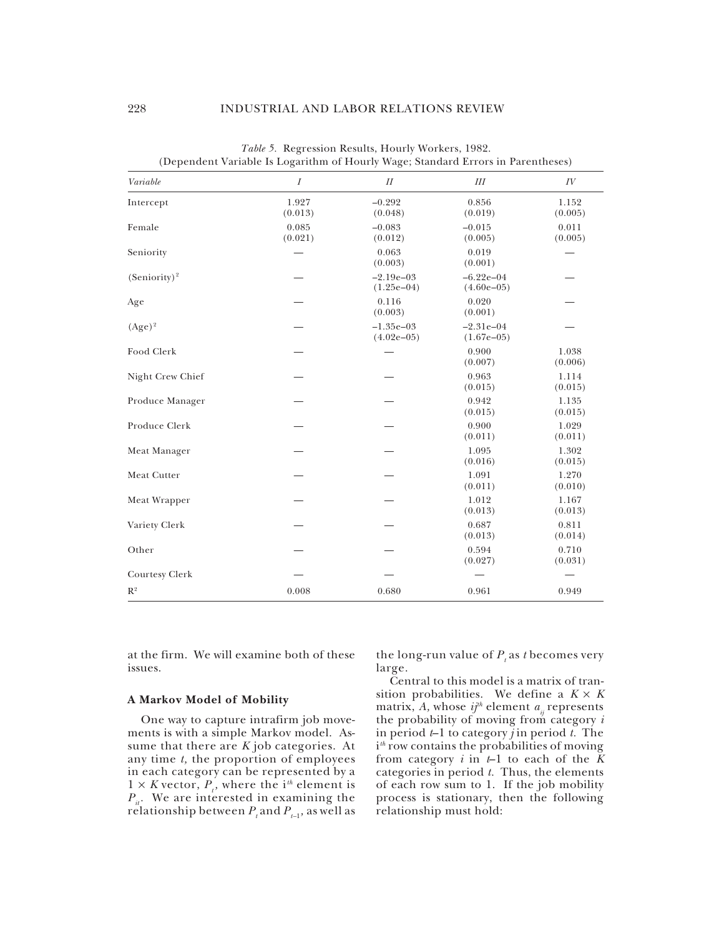| Variable         | (Dependent variable is Logarithm of Hourry Wage, Standard Errors in Farentheses)<br>$\overline{I}$ | II                          | Ш                           | IV               |
|------------------|----------------------------------------------------------------------------------------------------|-----------------------------|-----------------------------|------------------|
|                  |                                                                                                    |                             |                             |                  |
| Intercept        | 1.927<br>(0.013)                                                                                   | $-0.292$<br>(0.048)         | 0.856<br>(0.019)            | 1.152<br>(0.005) |
| Female           | 0.085<br>(0.021)                                                                                   | $-0.083$<br>(0.012)         | $-0.015$<br>(0.005)         | 0.011<br>(0.005) |
| Seniority        |                                                                                                    | 0.063<br>(0.003)            | 0.019<br>(0.001)            |                  |
| $(Seniority)^2$  |                                                                                                    | $-2.19e-03$<br>$(1.25e-04)$ | $-6.22e-04$<br>$(4.60e-05)$ |                  |
| Age              |                                                                                                    | 0.116<br>(0.003)            | 0.020<br>(0.001)            |                  |
| $(Age)^2$        |                                                                                                    | $-1.35e-03$<br>$(4.02e-05)$ | $-2.31e-04$<br>$(1.67e-05)$ |                  |
| Food Clerk       |                                                                                                    |                             | 0.900<br>(0.007)            | 1.038<br>(0.006) |
| Night Crew Chief |                                                                                                    |                             | 0.963<br>(0.015)            | 1.114<br>(0.015) |
| Produce Manager  |                                                                                                    |                             | 0.942<br>(0.015)            | 1.135<br>(0.015) |
| Produce Clerk    |                                                                                                    |                             | 0.900<br>(0.011)            | 1.029<br>(0.011) |
| Meat Manager     |                                                                                                    |                             | 1.095<br>(0.016)            | 1.302<br>(0.015) |
| Meat Cutter      |                                                                                                    |                             | 1.091<br>(0.011)            | 1.270<br>(0.010) |
| Meat Wrapper     |                                                                                                    |                             | 1.012<br>(0.013)            | 1.167<br>(0.013) |
| Variety Clerk    |                                                                                                    |                             | 0.687<br>(0.013)            | 0.811<br>(0.014) |
| Other            |                                                                                                    |                             | 0.594<br>(0.027)            | 0.710<br>(0.031) |
| Courtesy Clerk   |                                                                                                    |                             |                             |                  |
| $\mathbb{R}^2$   | 0.008                                                                                              | 0.680                       | 0.961                       | 0.949            |

*Table 5.* Regression Results, Hourly Workers, 1982. (Dependent Variable Is Logarithm of Hourly Wage; Standard Errors in Parentheses)

at the firm. We will examine both of these issues.

#### **A Markov Model of Mobility**

One way to capture intrafirm job movements is with a simple Markov model. Assume that there are *K* job categories. At any time *t,* the proportion of employees in each category can be represented by a  $1 \times K$  vector,  $P_i$ , where the i<sup>th</sup> element is  $P_{it}$ . We are interested in examining the relationship between  $P_{_{t}}$  and  $P_{_{t-1}}$ , as well as

the long-run value of  $P_t$  as *t* becomes very large.

Central to this model is a matrix of transition probabilities. We define a  $K \times K$ matrix, A, whose  $ij<sup>th</sup>$  element  $a<sub>ii</sub>$  represents the probability of moving from category *i* in period *t*–1 to category *j* in period *t.* The i *th* row contains the probabilities of moving from category  $i$  in  $t-1$  to each of the  $\bar{K}$ categories in period *t.* Thus, the elements of each row sum to 1. If the job mobility process is stationary, then the following relationship must hold: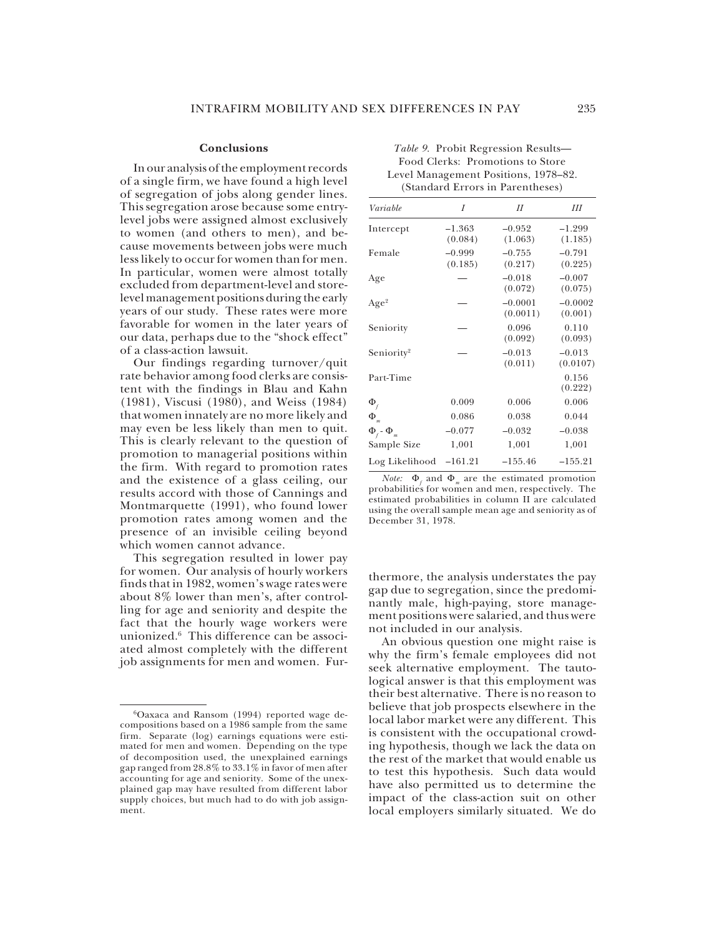Φ*f*

#### **Conclusions**

In our analysis of the employment records of a single firm, we have found a high level of segregation of jobs along gender lines. This segregation arose because some entrylevel jobs were assigned almost exclusively to women (and others to men), and because movements between jobs were much less likely to occur for women than for men. In particular, women were almost totally excluded from department-level and storelevel management positions during the early years of our study. These rates were more favorable for women in the later years of our data, perhaps due to the "shock effect" of a class-action lawsuit.

Our findings regarding turnover/quit rate behavior among food clerks are consistent with the findings in Blau and Kahn (1981), Viscusi (1980), and Weiss (1984) that women innately are no more likely and may even be less likely than men to quit. This is clearly relevant to the question of promotion to managerial positions within the firm. With regard to promotion rates and the existence of a glass ceiling, our results accord with those of Cannings and Montmarquette (1991), who found lower promotion rates among women and the presence of an invisible ceiling beyond which women cannot advance.

This segregation resulted in lower pay for women. Our analysis of hourly workers finds that in 1982, women's wage rates were about 8% lower than men's, after controlling for age and seniority and despite the fact that the hourly wage workers were unionized.6 This difference can be associated almost completely with the different job assignments for men and women. Fur-

| (Standard Effort III Farentheses) |                     |                       |                      |  |  |  |
|-----------------------------------|---------------------|-----------------------|----------------------|--|--|--|
| Variable                          | I                   | Н                     | Ш                    |  |  |  |
| Intercept                         | $-1.363$<br>(0.084) | $-0.952$<br>(1.063)   | $-1.299$<br>(1.185)  |  |  |  |
| Female                            | $-0.999$<br>(0.185) | $-0.755$<br>(0.217)   | $-0.791$<br>(0.225)  |  |  |  |
| Age                               |                     | $-0.018$<br>(0.072)   | $-0.007$<br>(0.075)  |  |  |  |
| Age <sup>2</sup>                  |                     | $-0.0001$<br>(0.0011) | $-0.0002$<br>(0.001) |  |  |  |
| Seniority                         |                     | 0.096<br>(0.092)      | 0.110<br>(0.093)     |  |  |  |
| Seniority <sup>2</sup>            |                     | $-0.013$<br>(0.011)   | $-0.013$<br>(0.0107) |  |  |  |
| Part-Time                         |                     |                       | 0.156<br>(0.222)     |  |  |  |
|                                   |                     |                       |                      |  |  |  |

#### *Table 9.* Probit Regression Results— Food Clerks: Promotions to Store Level Management Positions, 1978–82. (Standard Errors in Parentheses)

| $Log Likelihood -161.21$                                                             | $-155.46$ | $-155.21$ |
|--------------------------------------------------------------------------------------|-----------|-----------|
| <i>Note:</i> $\Phi$ <sub>c</sub> and $\Phi$ <sub>m</sub> are the estimated promotion |           |           |
| probabilities for women and men, respectively. The                                   |           |           |
| estimated probabilities in column II are calculated                                  |           |           |
| using the overall sample mean age and seniority as of                                |           |           |
| December 31, 1978.                                                                   |           |           |

 $\Phi$ <sub>f</sub> 0.009 0.006 0.006 Φ*<sup>m</sup>* 0.086 0.038 0.044

 $-0.077$   $-0.032$   $-0.038$ Sample Size 1,001 1,001 1,001

thermore, the analysis understates the pay gap due to segregation, since the predominantly male, high-paying, store management positions were salaried, and thus were not included in our analysis.

An obvious question one might raise is why the firm's female employees did not seek alternative employment. The tautological answer is that this employment was their best alternative. There is no reason to believe that job prospects elsewhere in the local labor market were any different. This is consistent with the occupational crowding hypothesis, though we lack the data on the rest of the market that would enable us to test this hypothesis. Such data would have also permitted us to determine the impact of the class-action suit on other local employers similarly situated. We do

<sup>6</sup>Oaxaca and Ransom (1994) reported wage decompositions based on a 1986 sample from the same firm. Separate (log) earnings equations were estimated for men and women. Depending on the type of decomposition used, the unexplained earnings gap ranged from 28.8% to 33.1% in favor of men after accounting for age and seniority. Some of the unexplained gap may have resulted from different labor supply choices, but much had to do with job assignment.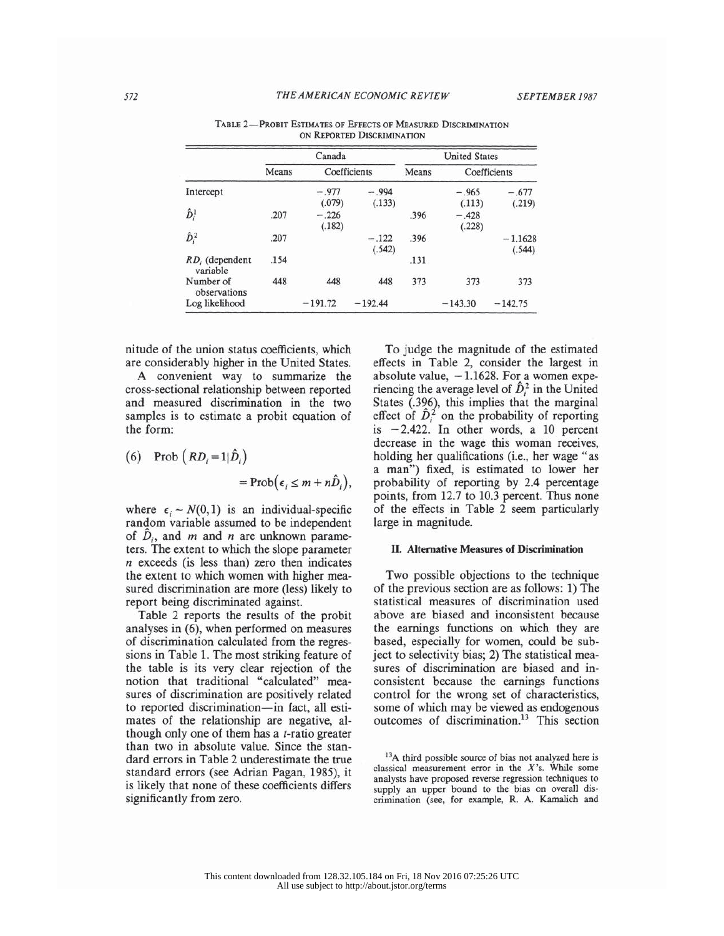|                            |       | Canada            |                   | <b>United States</b> |                   |                     |  |
|----------------------------|-------|-------------------|-------------------|----------------------|-------------------|---------------------|--|
|                            | Means | Coefficients      |                   | Means                | Coefficients      |                     |  |
| Intercept                  |       | $-.977$<br>(.079) | $-.994$<br>(.133) |                      | $-.965$<br>(.113) | $-.677$<br>(.219)   |  |
| $\hat{D}_i^1$              | .207  | $-.226$<br>(.182) |                   | .396                 | $-.428$<br>(.228) |                     |  |
| $\hat{D}_i^2$              | .207  |                   | $-.122$<br>(.542) | .396                 |                   | $-1.1628$<br>(.544) |  |
| RD, (dependent<br>variable | .154  |                   |                   | .131                 |                   |                     |  |
| Number of<br>observations  | 448   | 448               | 448               | 373                  | 373               | 373                 |  |
| Log likelihood             |       | $-191.72$         | $-192.44$         |                      | $-143.30$         | $-142.75$           |  |

TABLE 2-PROBIT ESTIMATES OF EFFECTS OF MEASURED DISCRIMINATION ON REPORTED DISCRIMINATION

nitude of the union status coefficients, which are considerably higher in the United States.

A convenient way to summarize the cross-sectional relationship between reported and measured discrimination in the two samples is to estimate a probit equation of the form:

(6) Prob 
$$
(RD_i = 1|\hat{D}_i)
$$
  
= Prob( $\epsilon_i \le m + n\hat{D}_i$ )

where  $\epsilon_i \sim N(0, 1)$  is an individual-specific random variable assumed to be independent of  $\ddot{D}_i$ , and m and n are unknown parameters. The extent to which the slope parameter  $n$  exceeds (is less than) zero then indicates the extent to which women with higher measured discrimination are more (less) likely to report being discriminated against.

Table 2 reports the results of the probit analyses in  $(6)$ , when performed on measures of discrimination calculated from the regressions in Table 1. The most striking feature of the table is its very clear rejection of the notion that traditional "calculated" measures of discrimination are positively related to reported discrimination-in fact, all estimates of the relationship are negative, although only one of them has a *t*-ratio greater than two in absolute value. Since the standard errors in Table 2 underestimate the true standard errors (see Adrian Pagan, 1985), it is likely that none of these coefficients differs significantly from zero.

To judge the magnitude of the estimated effects in Table 2, consider the largest in absolute value,  $-1.1628$ . For a women experiencing the average level of  $\hat{D}_i^2$  in the United States (.396), this implies that the marginal effect of  $\hat{D}_i^2$  on the probability of reporting is  $-2.422$ . In other words, a 10 percent decrease in the wage this woman receives, holding her qualifications (i.e., her wage "as a man") fixed, is estimated to lower her probability of reporting by 2.4 percentage points, from 12.7 to 10.3 percent. Thus none of the effects in Table 2 seem particularly large in magnitude.

#### II. Alternative Measures of Discrimination

Two possible objections to the technique of the previous section are as follows: 1) The statistical measures of discrimination used above are biased and inconsistent because the earnings functions on which they are based, especially for women, could be subject to selectivity bias; 2) The statistical measures of discrimination are biased and inconsistent because the earnings functions control for the wrong set of characteristics, some of which may be viewed as endogenous outcomes of discrimination.<sup>13</sup> This section

572

<sup>&</sup>lt;sup>13</sup>A third possible source of bias not analyzed here is classical measurement error in the  $X$ 's. While some analysts have proposed reverse regression techniques to supply an upper bound to the bias on overall discrimination (see, for example, R. A. Kamalich and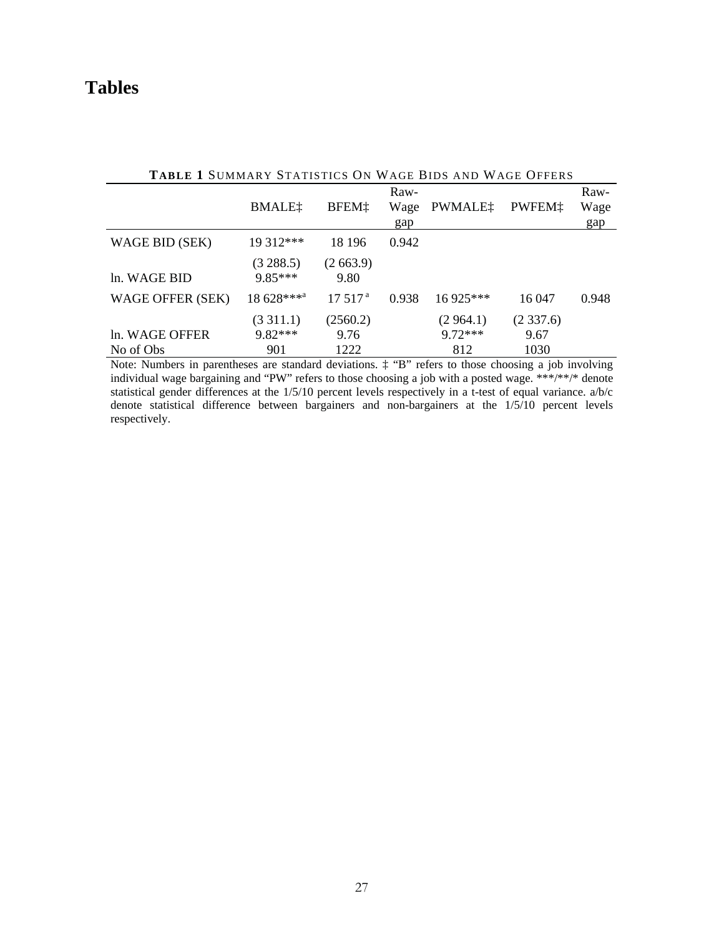## **Tables**

| TABLE I SUMMARY STATISTICS ON WAGE BIDS AND WAGE OFFERS |                            |                          |                     |                               |                          |                     |  |
|---------------------------------------------------------|----------------------------|--------------------------|---------------------|-------------------------------|--------------------------|---------------------|--|
|                                                         | <b>BMALE</b> <sup>†</sup>  | BFEM <sup>+</sup>        | Raw-<br>Wage<br>gap | PWMALE:                       | PWFEM <sub>1</sub>       | Raw-<br>Wage<br>gap |  |
| WAGE BID (SEK)                                          | 19 312***                  | 18 19 6                  | 0.942               |                               |                          |                     |  |
| ln. WAGE BID                                            | (3288.5)<br>$9.85***$      | (2663.9)<br>9.80         |                     |                               |                          |                     |  |
| WAGE OFFER (SEK)                                        | 18 628****                 | 17.517 <sup>a</sup>      | 0.938               | $16925***$                    | 16 047                   | 0.948               |  |
| In. WAGE OFFER<br>No of Obs                             | (3311.1)<br>9.82***<br>901 | (2560.2)<br>9.76<br>1222 |                     | (2.964.1)<br>$9.72***$<br>812 | (2337.6)<br>9.67<br>1030 |                     |  |

**TABLE 1** SUMMARY STATISTICS ON WAGE BIDS AND WAGE OFFERS

Note: Numbers in parentheses are standard deviations. ‡ "B" refers to those choosing a job involving individual wage bargaining and "PW" refers to those choosing a job with a posted wage. \*\*\*/\*\*/\* denote statistical gender differences at the  $1/5/10$  percent levels respectively in a t-test of equal variance. a/b/c denote statistical difference between bargainers and non-bargainers at the 1/5/10 percent levels respectively.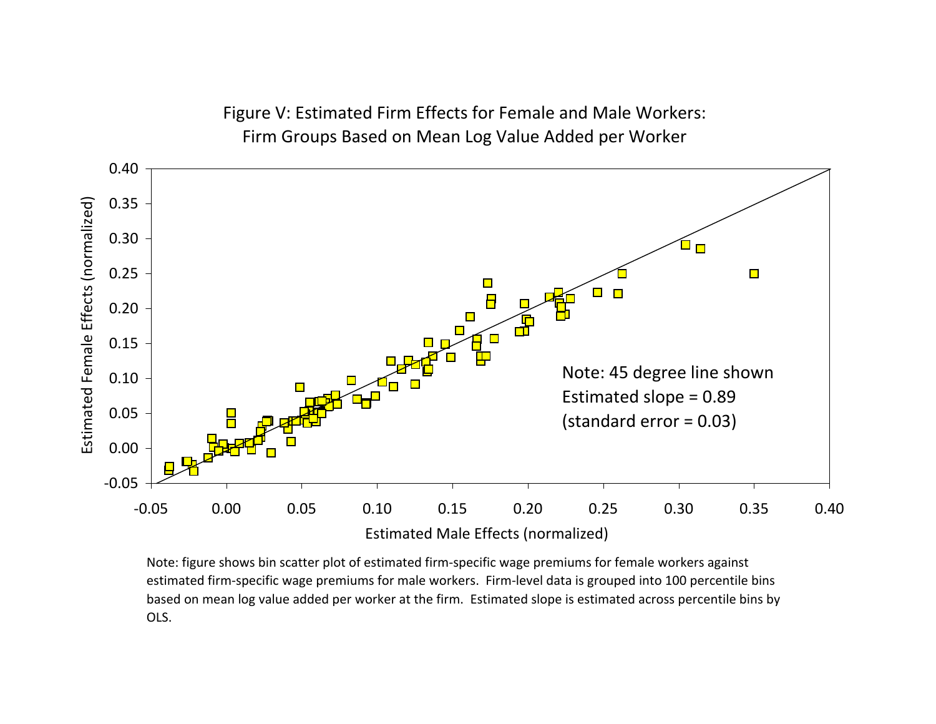

Figure V: Estimated Firm Effects for Female and Male Workers: Firm Groups Based on Mean Log Value Added per Worker

Note: figure shows bin scatter plot of estimated firm‐specific wage premiums for female workers against estimated firm‐specific wage premiums for male workers. Firm‐level data is grouped into 100 percentile bins based on mean log value added per worker at the firm. Estimated slope is estimated across percentile bins by OLS.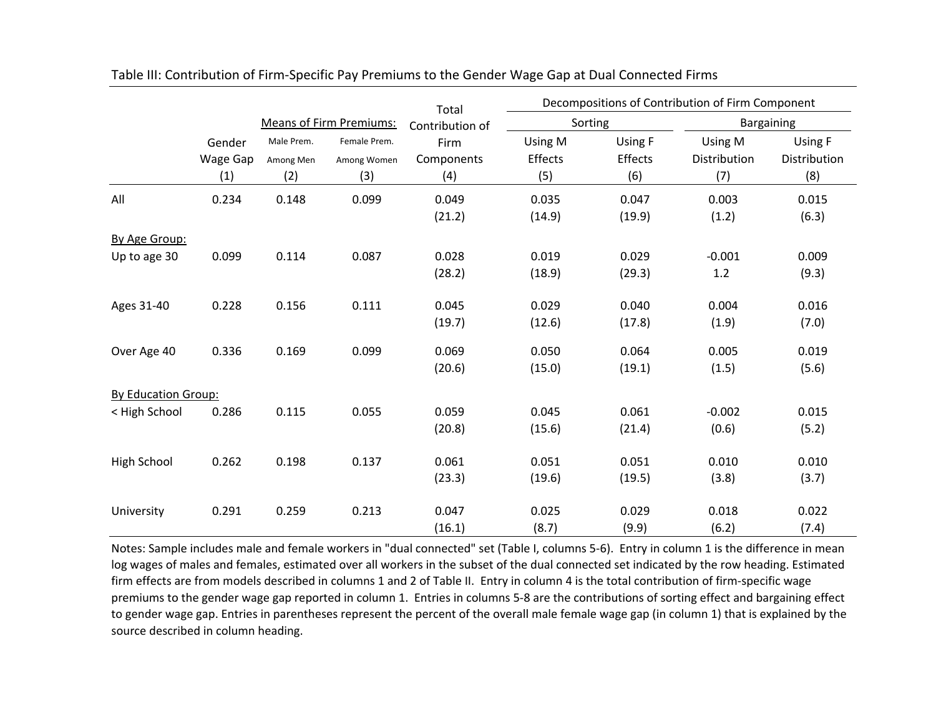|                            |          |                                |              | Total           |         |         | Decompositions of Contribution of Firm Component |              |
|----------------------------|----------|--------------------------------|--------------|-----------------|---------|---------|--------------------------------------------------|--------------|
|                            |          | <b>Means of Firm Premiums:</b> |              | Contribution of | Sorting |         | <b>Bargaining</b>                                |              |
|                            | Gender   | Male Prem.                     | Female Prem. | Firm            | Using M | Using F | Using M                                          | Using F      |
|                            | Wage Gap | Among Men                      | Among Women  | Components      | Effects | Effects | Distribution                                     | Distribution |
|                            | (1)      | (2)                            | (3)          | (4)             | (5)     | (6)     | (7)                                              | (8)          |
| All                        | 0.234    | 0.148                          | 0.099        | 0.049           | 0.035   | 0.047   | 0.003                                            | 0.015        |
|                            |          |                                |              | (21.2)          | (14.9)  | (19.9)  | (1.2)                                            | (6.3)        |
| By Age Group:              |          |                                |              |                 |         |         |                                                  |              |
| Up to age 30               | 0.099    | 0.114                          | 0.087        | 0.028           | 0.019   | 0.029   | $-0.001$                                         | 0.009        |
|                            |          |                                |              | (28.2)          | (18.9)  | (29.3)  | 1.2                                              | (9.3)        |
| Ages 31-40                 | 0.228    | 0.156                          | 0.111        | 0.045           | 0.029   | 0.040   | 0.004                                            | 0.016        |
|                            |          |                                |              | (19.7)          | (12.6)  | (17.8)  | (1.9)                                            | (7.0)        |
| Over Age 40                | 0.336    | 0.169                          | 0.099        | 0.069           | 0.050   | 0.064   | 0.005                                            | 0.019        |
|                            |          |                                |              | (20.6)          | (15.0)  | (19.1)  | (1.5)                                            | (5.6)        |
| <b>By Education Group:</b> |          |                                |              |                 |         |         |                                                  |              |
| < High School              | 0.286    | 0.115                          | 0.055        | 0.059           | 0.045   | 0.061   | $-0.002$                                         | 0.015        |
|                            |          |                                |              | (20.8)          | (15.6)  | (21.4)  | (0.6)                                            | (5.2)        |
| High School                | 0.262    | 0.198                          | 0.137        | 0.061           | 0.051   | 0.051   | 0.010                                            | 0.010        |
|                            |          |                                |              | (23.3)          | (19.6)  | (19.5)  | (3.8)                                            | (3.7)        |
| University                 | 0.291    | 0.259                          | 0.213        | 0.047           | 0.025   | 0.029   | 0.018                                            | 0.022        |
|                            |          |                                |              | (16.1)          | (8.7)   | (9.9)   | (6.2)                                            | (7.4)        |

| Table III: Contribution of Firm-Specific Pay Premiums to the Gender Wage Gap at Dual Connected Firms |  |  |  |
|------------------------------------------------------------------------------------------------------|--|--|--|
|------------------------------------------------------------------------------------------------------|--|--|--|

Notes: Sample includes male and female workers in "dual connected" set (Table I, columns 5‐6). Entry in column 1 is the difference in mean log wages of males and females, estimated over all workers in the subset of the dual connected set indicated by the row heading. Estimated firm effects are from models described in columns 1 and 2 of Table II. Entry in column 4 is the total contribution of firm‐specific wage premiums to the gender wage gap reported in column 1. Entries in columns 5‐8 are the contributions of sorting effect and bargaining effect to gender wage gap. Entries in parentheses represent the percent of the overall male female wage gap (in column 1) that is explained by the source described in column heading.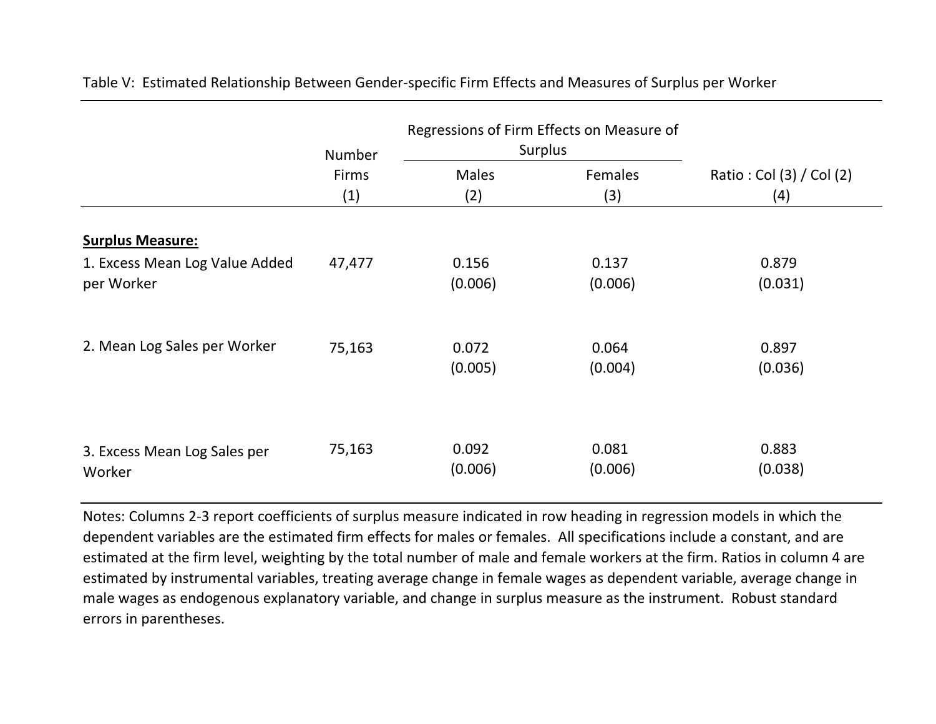|                                | Number | Regressions of Firm Effects on Measure of<br>Surplus |                  |                          |  |
|--------------------------------|--------|------------------------------------------------------|------------------|--------------------------|--|
|                                | Firms  | <b>Males</b>                                         | Females          | Ratio: Col (3) / Col (2) |  |
|                                | (1)    | (2)                                                  | (3)              | (4)                      |  |
| <b>Surplus Measure:</b>        |        |                                                      |                  |                          |  |
| 1. Excess Mean Log Value Added | 47,477 | 0.156                                                | 0.137            | 0.879                    |  |
| per Worker                     |        | (0.006)                                              | (0.006)          | (0.031)                  |  |
| 2. Mean Log Sales per Worker   | 75,163 | 0.072<br>(0.005)                                     | 0.064<br>(0.004) | 0.897<br>(0.036)         |  |
| 3. Excess Mean Log Sales per   | 75,163 | 0.092                                                | 0.081            | 0.883                    |  |
| Worker                         |        | (0.006)                                              | (0.006)          | (0.038)                  |  |

Table V: Estimated Relationship Between Gender‐specific Firm Effects and Measures of Surplus per Worker

Notes: Columns 2‐3 report coefficients of surplus measure indicated in row heading in regression models in which the dependent variables are the estimated firm effects for males or females. All specifications include <sup>a</sup> constant, and are estimated at the firm level, weighting by the total number of male and female workers at the firm. Ratios in column 4 are estimated by instrumental variables, treating average change in female wages as dependent variable, average change in male wages as endogenous explanatory variable, and change in surplus measure as the instrument. Robust standard errors in parentheses.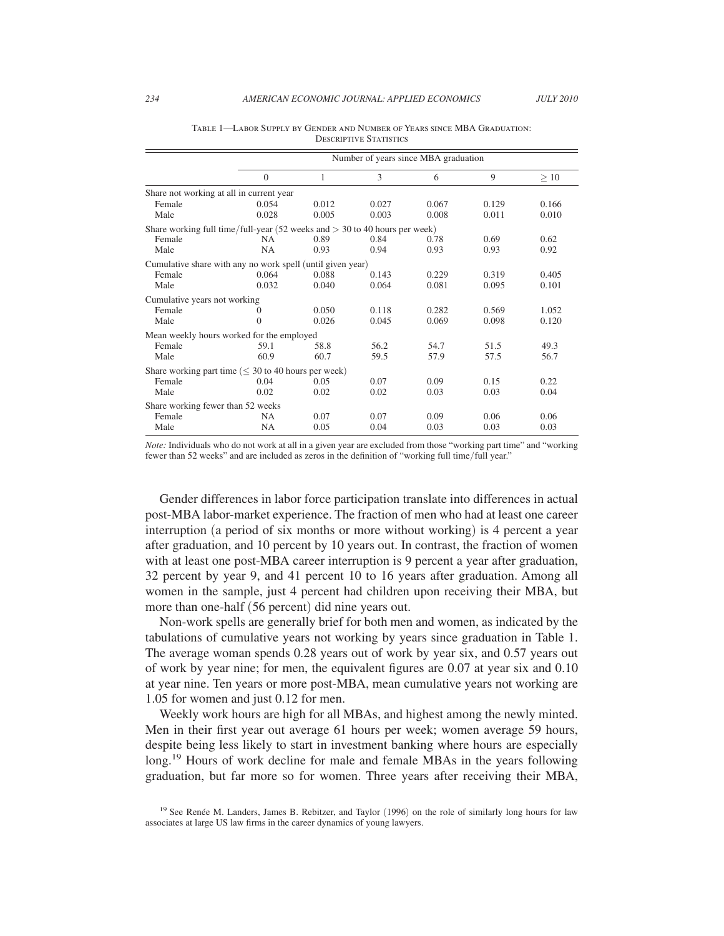|                                                                              | Number of years since MBA graduation |       |       |       |       |       |  |
|------------------------------------------------------------------------------|--------------------------------------|-------|-------|-------|-------|-------|--|
|                                                                              | $\mathbf{0}$                         | 1     | 3     | 6     | 9     | >10   |  |
| Share not working at all in current year                                     |                                      |       |       |       |       |       |  |
| Female                                                                       | 0.054                                | 0.012 | 0.027 | 0.067 | 0.129 | 0.166 |  |
| Male                                                                         | 0.028                                | 0.005 | 0.003 | 0.008 | 0.011 | 0.010 |  |
| Share working full time/full-year (52 weeks and $>$ 30 to 40 hours per week) |                                      |       |       |       |       |       |  |
| Female                                                                       | NA.                                  | 0.89  | 0.84  | 0.78  | 0.69  | 0.62  |  |
| Male                                                                         | <b>NA</b>                            | 0.93  | 0.94  | 0.93  | 0.93  | 0.92  |  |
| Cumulative share with any no work spell (until given year)                   |                                      |       |       |       |       |       |  |
| Female                                                                       | 0.064                                | 0.088 | 0.143 | 0.229 | 0.319 | 0.405 |  |
| Male                                                                         | 0.032                                | 0.040 | 0.064 | 0.081 | 0.095 | 0.101 |  |
| Cumulative years not working                                                 |                                      |       |       |       |       |       |  |
| Female                                                                       | 0                                    | 0.050 | 0.118 | 0.282 | 0.569 | 1.052 |  |
| Male                                                                         | $\Omega$                             | 0.026 | 0.045 | 0.069 | 0.098 | 0.120 |  |
| Mean weekly hours worked for the employed                                    |                                      |       |       |       |       |       |  |
| Female                                                                       | 59.1                                 | 58.8  | 56.2  | 54.7  | 51.5  | 49.3  |  |
| Male                                                                         | 60.9                                 | 60.7  | 59.5  | 57.9  | 57.5  | 56.7  |  |
| Share working part time ( $\leq 30$ to 40 hours per week)                    |                                      |       |       |       |       |       |  |
| Female                                                                       | 0.04                                 | 0.05  | 0.07  | 0.09  | 0.15  | 0.22  |  |
| Male                                                                         | 0.02                                 | 0.02  | 0.02  | 0.03  | 0.03  | 0.04  |  |
| Share working fewer than 52 weeks                                            |                                      |       |       |       |       |       |  |
| Female                                                                       | NA                                   | 0.07  | 0.07  | 0.09  | 0.06  | 0.06  |  |
| Male                                                                         | NA                                   | 0.05  | 0.04  | 0.03  | 0.03  | 0.03  |  |

Table 1—Labor Supply by Gender and Number of Years since MBA Graduation: Descriptive Statistics

*Note:* Individuals who do not work at all in a given year are excluded from those "working part time" and "working fewer than 52 weeks" and are included as zeros in the definition of "working full time/full year."

Gender differences in labor force participation translate into differences in actual post-MBA labor-market experience. The fraction of men who had at least one career interruption (a period of six months or more without working) is 4 percent a year after graduation, and 10 percent by 10 years out. In contrast, the fraction of women with at least one post-MBA career interruption is 9 percent a year after graduation, 32 percent by year 9, and 41 percent 10 to 16 years after graduation. Among all women in the sample, just 4 percent had children upon receiving their MBA, but more than one-half (56 percent) did nine years out.

Non-work spells are generally brief for both men and women, as indicated by the tabulations of cumulative years not working by years since graduation in Table 1. The average woman spends 0.28 years out of work by year six, and 0.57 years out of work by year nine; for men, the equivalent figures are 0.07 at year six and 0.10 at year nine. Ten years or more post-MBA, mean cumulative years not working are 1.05 for women and just 0.12 for men.

Weekly work hours are high for all MBAs, and highest among the newly minted. Men in their first year out average 61 hours per week; women average 59 hours, despite being less likely to start in investment banking where hours are especially long.<sup>19</sup> Hours of work decline for male and female MBAs in the years following graduation, but far more so for women. Three years after receiving their MBA,

<sup>&</sup>lt;sup>19</sup> See Renée M. Landers, James B. Rebitzer, and Taylor (1996) on the role of similarly long hours for law associates at large US law firms in the career dynamics of young lawyers.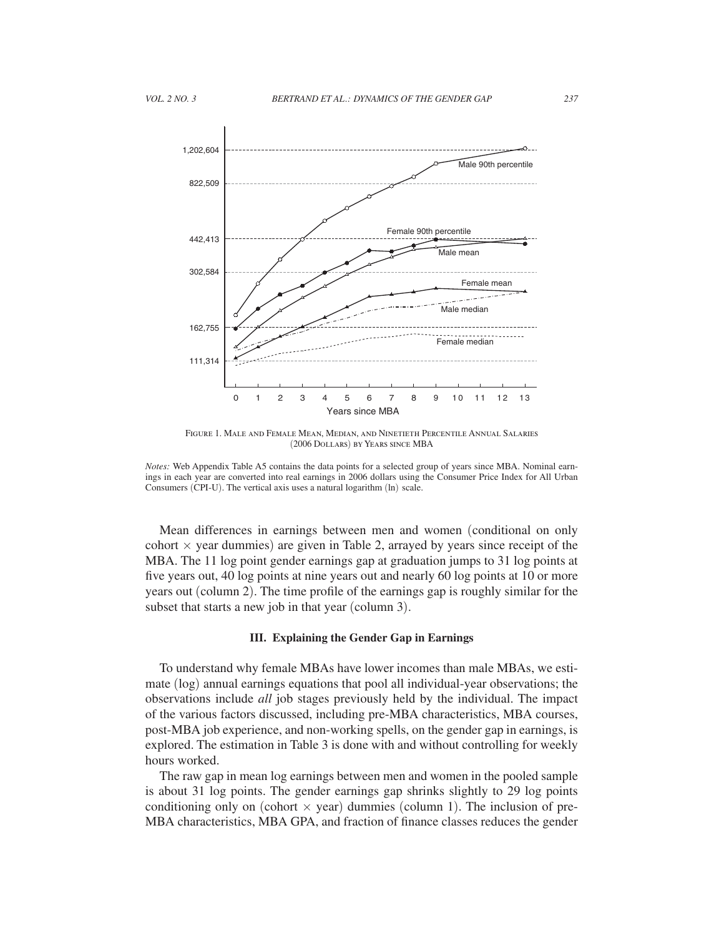

Figure 1. Male and Female Mean, Median, and Ninetieth Percentile Annual Salaries (2006 Dollars) by Years since MBA

*Notes:* Web Appendix Table A5 contains the data points for a selected group of years since MBA. Nominal earnings in each year are converted into real earnings in 2006 dollars using the Consumer Price Index for All Urban Consumers (CPI-U). The vertical axis uses a natural logarithm (ln) scale.

Mean differences in earnings between men and women (conditional on only cohort  $\times$  year dummies) are given in Table 2, arrayed by years since receipt of the MBA. The 11 log point gender earnings gap at graduation jumps to 31 log points at five years out, 40 log points at nine years out and nearly 60 log points at 10 or more years out (column 2). The time profile of the earnings gap is roughly similar for the subset that starts a new job in that year (column 3).

#### **III. Explaining the Gender Gap in Earnings**

To understand why female MBAs have lower incomes than male MBAs, we estimate (log) annual earnings equations that pool all individual-year observations; the observations include *all* job stages previously held by the individual. The impact of the various factors discussed, including pre-MBA characteristics, MBA courses, post-MBA job experience, and non-working spells, on the gender gap in earnings, is explored. The estimation in Table 3 is done with and without controlling for weekly hours worked.

The raw gap in mean log earnings between men and women in the pooled sample is about 31 log points. The gender earnings gap shrinks slightly to 29 log points conditioning only on (cohort  $\times$  year) dummies (column 1). The inclusion of pre-MBA characteristics, MBA GPA, and fraction of finance classes reduces the gender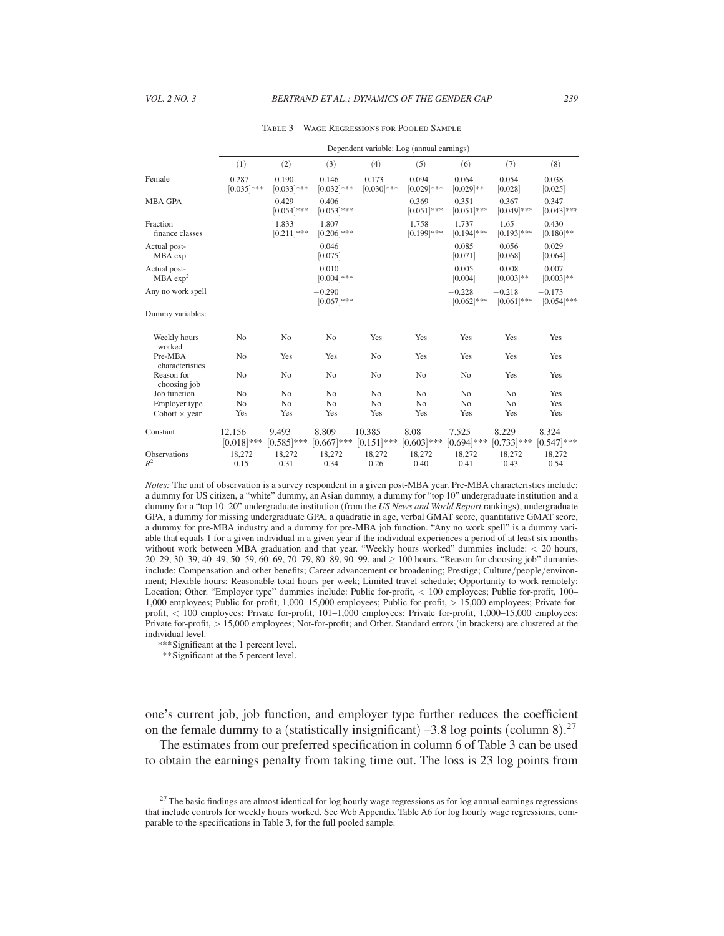|                                      |                           | Dependent variable: Log (annual earnings) |                           |                           |                           |                           |                           |                           |
|--------------------------------------|---------------------------|-------------------------------------------|---------------------------|---------------------------|---------------------------|---------------------------|---------------------------|---------------------------|
|                                      | (1)                       | (2)                                       | (3)                       | (4)                       | (5)                       | (6)                       | (7)                       | (8)                       |
| Female                               | $-0.287$<br>$[0.035]$ *** | $-0.190$<br>$[0.033]$ ***                 | $-0.146$<br>$[0.032]$ *** | $-0.173$<br>$[0.030]$ *** | $-0.094$<br>$[0.029]$ *** | $-0.064$<br>$[0.029]$ **  | $-0.054$<br>[0.028]       | $-0.038$<br>[0.025]       |
| <b>MBA GPA</b>                       |                           | 0.429<br>$[0.054]$ ***                    | 0.406<br>$[0.053]$ ***    |                           | 0.369<br>$[0.051]***$     | 0.351<br>$[0.051]$ ***    | 0.367<br>$[0.049]$ ***    | 0.347<br>$[0.043]$ ***    |
| Fraction<br>finance classes          |                           | 1.833<br>$[0.211]***$                     | 1.807<br>$[0.206]$ ***    |                           | 1.758<br>$[0.199]$ ***    | 1.737<br>$[0.194]$ ***    | 1.65<br>$[0.193]$ ***     | 0.430<br>$[0.180]$ **     |
| Actual post-<br>MBA exp              |                           |                                           | 0.046<br>[0.075]          |                           |                           | 0.085<br>[0.071]          | 0.056<br>[0.068]          | 0.029<br>[0.064]          |
| Actual post-<br>MBA exp <sup>2</sup> |                           |                                           | 0.010<br>$[0.004]$ ***    |                           |                           | 0.005<br>[0.004]          | 0.008<br>$[0.003]**$      | 0.007<br>$[0.003]**$      |
| Any no work spell                    |                           |                                           | $-0.290$<br>$[0.067]***$  |                           |                           | $-0.228$<br>$[0.062]$ *** | $-0.218$<br>$[0.061]$ *** | $-0.173$<br>$[0.054]$ *** |
| Dummy variables:                     |                           |                                           |                           |                           |                           |                           |                           |                           |
| Weekly hours<br>worked               | N <sub>0</sub>            | No                                        | N <sub>o</sub>            | Yes                       | Yes                       | Yes                       | Yes                       | Yes                       |
| Pre-MBA<br>characteristics           | N <sub>o</sub>            | Yes                                       | Yes                       | N <sub>o</sub>            | Yes                       | Yes                       | Yes                       | Yes                       |
| Reason for<br>choosing job           | N <sub>o</sub>            | No                                        | N <sub>0</sub>            | N <sub>o</sub>            | N <sub>o</sub>            | N <sub>o</sub>            | Yes                       | Yes                       |
| Job function                         | N <sub>o</sub>            | N <sub>0</sub>                            | N <sub>0</sub>            | N <sub>o</sub>            | N <sub>0</sub>            | N <sub>o</sub>            | No                        | Yes                       |
| Employer type                        | N <sub>o</sub>            | N <sub>o</sub>                            | N <sub>0</sub>            | N <sub>o</sub>            | N <sub>o</sub>            | N <sub>o</sub>            | N <sub>o</sub>            | Yes                       |
| Cohort $\times$ year                 | Yes                       | Yes                                       | Yes                       | Yes                       | Yes                       | Yes                       | Yes                       | Yes                       |
| Constant                             | 12.156<br>$[0.018]***$    | 9.493<br>$[0.585]$ ***                    | 8.809<br>$[0.667]***$     | 10.385<br>$[0.151]$ ***   | 8.08<br>$[0.603]***$      | 7.525<br>$[0.694]$ ***    | 8.229<br>$[0.733]***$     | 8.324<br>$[0.547]$ ***    |
| Observations<br>$R^2$                | 18,272<br>0.15            | 18,272<br>0.31                            | 18.272<br>0.34            | 18,272<br>0.26            | 18,272<br>0.40            | 18,272<br>0.41            | 18,272<br>0.43            | 18,272<br>0.54            |

Table 3—Wage Regressions for Pooled Sample

*Notes:* The unit of observation is a survey respondent in a given post-MBA year. Pre-MBA characteristics include: a dummy for US citizen, a "white" dummy, an Asian dummy, a dummy for "top 10" undergraduate institution and a dummy for a "top 10–20" undergraduate institution (from the *US News and World Report* rankings), undergraduate GPA, a dummy for missing undergraduate GPA, a quadratic in age, verbal GMAT score, quantitative GMAT score, a dummy for pre-MBA industry and a dummy for pre-MBA job function. "Any no work spell" is a dummy variable that equals 1 for a given individual in a given year if the individual experiences a period of at least six months without work between MBA graduation and that year. "Weekly hours worked" dummies include: < 20 hours, 20–29, 30–39, 40–49, 50–59, 60–69, 70–79, 80–89, 90–99, and ≥ 100 hours. "Reason for choosing job" dummies include: Compensation and other benefits; Career advancement or broadening; Prestige; Culture/people/environment; Flexible hours; Reasonable total hours per week; Limited travel schedule; Opportunity to work remotely; Location; Other. "Employer type" dummies include: Public for-profit, < 100 employees; Public for-profit, 100– 1,000 employees; Public for-profit, 1,000–15,000 employees; Public for-profit, > 15,000 employees; Private forprofit, < 100 employees; Private for-profit, 101–1,000 employees; Private for-profit, 1,000–15,000 employees; Private for-profit, > 15,000 employees; Not-for-profit; and Other. Standard errors (in brackets) are clustered at the individual level.

*\*\*\** Significant at the 1 percent level.

 *\*\** Significant at the 5 percent level.

one's current job, job function, and employer type further reduces the coefficient on the female dummy to a (statistically insignificant)  $-3.8$  log points (column 8).<sup>27</sup>

The estimates from our preferred specification in column 6 of Table 3 can be used to obtain the earnings penalty from taking time out. The loss is 23 log points from

 $27$  The basic findings are almost identical for log hourly wage regressions as for log annual earnings regressions that include controls for weekly hours worked. See Web Appendix Table A6 for log hourly wage regressions, comparable to the specifications in Table 3, for the full pooled sample.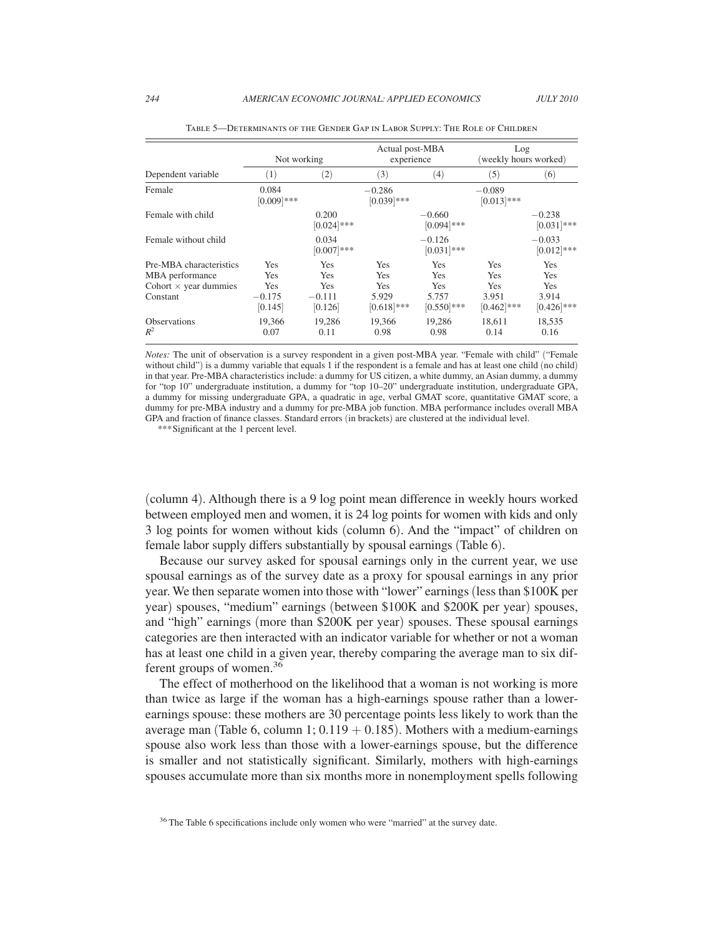|                                                                                        | Not working                              |                                          | Actual post-MBA<br>experience                      |                                                          | Log<br>(weekly hours worked)                                     |                                             |
|----------------------------------------------------------------------------------------|------------------------------------------|------------------------------------------|----------------------------------------------------|----------------------------------------------------------|------------------------------------------------------------------|---------------------------------------------|
| Dependent variable                                                                     | (1)                                      | $\left( 2\right)$                        | (3)                                                | (4)                                                      | (5)                                                              | (6)                                         |
| Female                                                                                 | 0.084<br>$[0.009]$ ***                   |                                          | $-0.286$<br>$[0.039]$ ***                          |                                                          | $-0.089$<br>$[0.013]***$                                         |                                             |
| Female with child                                                                      |                                          | 0.200<br>$[0.024]$ ***                   |                                                    | $-0.660$<br>$[0.094]$ ***                                |                                                                  | $-0.238$<br>$[0.031]$ ***                   |
| Female without child                                                                   |                                          | 0.034<br>$[0.007]***$                    |                                                    | $-0.126$<br>$[0.031]***$                                 |                                                                  | $-0.033$<br>$[0.012]$ ***                   |
| Pre-MBA characteristics<br>MBA performance<br>Cohort $\times$ year dummies<br>Constant | Yes<br>Yes<br>Yes<br>$-0.175$<br>[0.145] | Yes<br>Yes<br>Yes<br>$-0.111$<br>[0.126] | Yes<br>Yes<br><b>Yes</b><br>5.929<br>$[0.618]$ *** | <b>Yes</b><br>Yes<br><b>Yes</b><br>5.757<br>$[0.550]***$ | <b>Yes</b><br><b>Yes</b><br><b>Yes</b><br>3.951<br>$[0.462]$ *** | Yes<br>Yes<br>Yes<br>3.914<br>$[0.426]$ *** |
| <b>Observations</b><br>$R^2$                                                           | 19,366<br>0.07                           | 19.286<br>0.11                           | 19,366<br>0.98                                     | 19,286<br>0.98                                           | 18,611<br>0.14                                                   | 18,535<br>0.16                              |

Table 5—Determinants of the Gender Gap in Labor Supply: The Role of Children

*Notes:* The unit of observation is a survey respondent in a given post-MBA year. "Female with child" ("Female without child") is a dummy variable that equals 1 if the respondent is a female and has at least one child (no child) in that year. Pre-MBA characteristics include: a dummy for US citizen, a white dummy, an Asian dummy, a dummy for "top 10" undergraduate institution, a dummy for "top 10–20" undergraduate institution, undergraduate GPA, a dummy for missing undergraduate GPA, a quadratic in age, verbal GMAT score, quantitative GMAT score, a dummy for pre-MBA industry and a dummy for pre-MBA job function. MBA performance includes overall MBA GPA and fraction of finance classes. Standard errors (in brackets) are clustered at the individual level.

*\*\*\** Significant at the 1 percent level.

(column 4). Although there is a 9 log point mean difference in weekly hours worked between employed men and women, it is 24 log points for women with kids and only 3 log points for women without kids (column 6). And the "impact" of children on female labor supply differs substantially by spousal earnings (Table 6).

Because our survey asked for spousal earnings only in the current year, we use spousal earnings as of the survey date as a proxy for spousal earnings in any prior year. We then separate women into those with "lower" earnings (less than \$100K per year) spouses, "medium" earnings (between \$100K and \$200K per year) spouses, and "high" earnings (more than \$200K per year) spouses. These spousal earnings categories are then interacted with an indicator variable for whether or not a woman has at least one child in a given year, thereby comparing the average man to six different groups of women.36

The effect of motherhood on the likelihood that a woman is not working is more than twice as large if the woman has a high-earnings spouse rather than a lowerearnings spouse: these mothers are 30 percentage points less likely to work than the average man (Table 6, column 1;  $0.119 + 0.185$ ). Mothers with a medium-earnings spouse also work less than those with a lower-earnings spouse, but the difference is smaller and not statistically significant. Similarly, mothers with high-earnings spouses accumulate more than six months more in nonemployment spells following

<sup>36</sup> The Table 6 specifications include only women who were "married" at the survey date.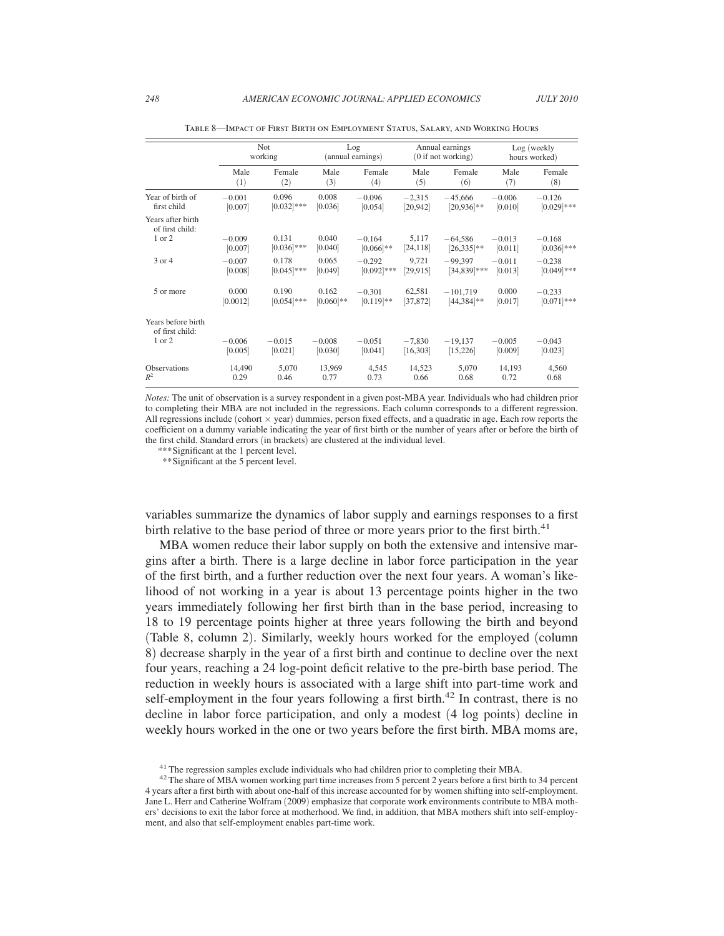|                                                 | <b>Not</b>          |                        | Log               |                          | Annual earnings    |                            | Log (weekly         |                           |
|-------------------------------------------------|---------------------|------------------------|-------------------|--------------------------|--------------------|----------------------------|---------------------|---------------------------|
|                                                 | working             |                        | (annual earnings) |                          | (0 if not working) |                            | hours worked)       |                           |
|                                                 | Male                | Female                 | Male              | Female                   | Male               | Female                     | Male                | Female                    |
|                                                 | (1)                 | (2)                    | (3)               | (4)                      | (5)                | (6)                        | (7)                 | (8)                       |
| Year of birth of                                | $-0.001$            | 0.096                  | 0.008             | $-0.096$                 | $-2,315$           | $-45,666$                  | $-0.006$            | $-0.126$                  |
| first child                                     | [0.007]             | $[0.032]$ ***          | [0.036]           | [0.054]                  | [20, 942]          | $[20,936]$ **              | [0.010]             | $[0.029]$ ***             |
| Years after birth<br>of first child:<br>1 or 2  | $-0.009$<br>[0.007] | 0.131<br>$[0.036]$ *** | 0.040<br>[0.040]  | $-0.164$<br>$[0.066]$ ** | 5,117<br>[24, 118] | $-64,586$<br>$[26,335]$ ** | $-0.013$<br>[0.011] | $-0.168$<br>$[0.036]$ *** |
| 3 or 4                                          | $-0.007$            | 0.178                  | 0.065             | $-0.292$                 | 9,721              | $-99,397$                  | $-0.011$            | $-0.238$                  |
|                                                 | [0.008]             | $[0.045]$ ***          | [0.049]           | $[0.092]$ ***            | [29, 915]          | $[34,839]$ ***             | [0.013]             | $[0.049]$ ***             |
| 5 or more                                       | 0.000               | 0.190                  | 0.162             | $-0.301$                 | 62,581             | $-101,719$                 | 0.000               | $-0.233$                  |
|                                                 | [0.0012]            | $[0.054]***$           | $[0.060]**$       | $[0.119]$ **             | [37, 872]          | $[44,384]$ **              | [0.017]             | $[0.071]$ ***             |
| Years before birth<br>of first child:<br>1 or 2 | $-0.006$            | $-0.015$               | $-0.008$          | $-0.051$                 | $-7,830$           | $-19,137$                  | $-0.005$            | $-0.043$                  |
|                                                 | [0.005]             | [0.021]                | [0.030]           | [0.041]                  | [16, 303]          | [15, 226]                  | [0.009]             | [0.023]                   |
| <b>Observations</b>                             | 14,490              | 5,070                  | 13,969            | 4,545                    | 14,523             | 5,070                      | 14,193              | 4,560                     |
| $R^2$                                           | 0.29                | 0.46                   | 0.77              | 0.73                     | 0.66               | 0.68                       | 0.72                | 0.68                      |

Table 8—Impact of First Birth on Employment Status, Salary, and Working Hours

*Notes:* The unit of observation is a survey respondent in a given post-MBA year. Individuals who had children prior to completing their MBA are not included in the regressions. Each column corresponds to a different regression. All regressions include (cohort  $\times$  year) dummies, person fixed effects, and a quadratic in age. Each row reports the coefficient on a dummy variable indicating the year of first birth or the number of years after or before the birth of the first child. Standard errors (in brackets) are clustered at the individual level.

*\*\*\** Significant at the 1 percent level.

 *\*\** Significant at the 5 percent level.

variables summarize the dynamics of labor supply and earnings responses to a first birth relative to the base period of three or more years prior to the first birth.<sup>41</sup>

MBA women reduce their labor supply on both the extensive and intensive margins after a birth. There is a large decline in labor force participation in the year of the first birth, and a further reduction over the next four years. A woman's likelihood of not working in a year is about 13 percentage points higher in the two years immediately following her first birth than in the base period, increasing to 18 to 19 percentage points higher at three years following the birth and beyond (Table 8, column 2). Similarly, weekly hours worked for the employed (column 8) decrease sharply in the year of a first birth and continue to decline over the next four years, reaching a 24 log-point deficit relative to the pre-birth base period. The reduction in weekly hours is associated with a large shift into part-time work and self-employment in the four years following a first birth.<sup>42</sup> In contrast, there is no decline in labor force participation, and only a modest (4 log points) decline in weekly hours worked in the one or two years before the first birth. MBA moms are,

<sup>&</sup>lt;sup>41</sup> The regression samples exclude individuals who had children prior to completing their MBA.  $42$  The share of MBA women working part time increases from 5 percent 2 years before a first birth to 34 percent 4 years after a first birth with about one-half of this increase accounted for by women shifting into self-employment. Jane L. Herr and Catherine Wolfram (2009) emphasize that corporate work environments contribute to MBA mothers' decisions to exit the labor force at motherhood. We find, in addition, that MBA mothers shift into self-employment, and also that self-employment enables part-time work.